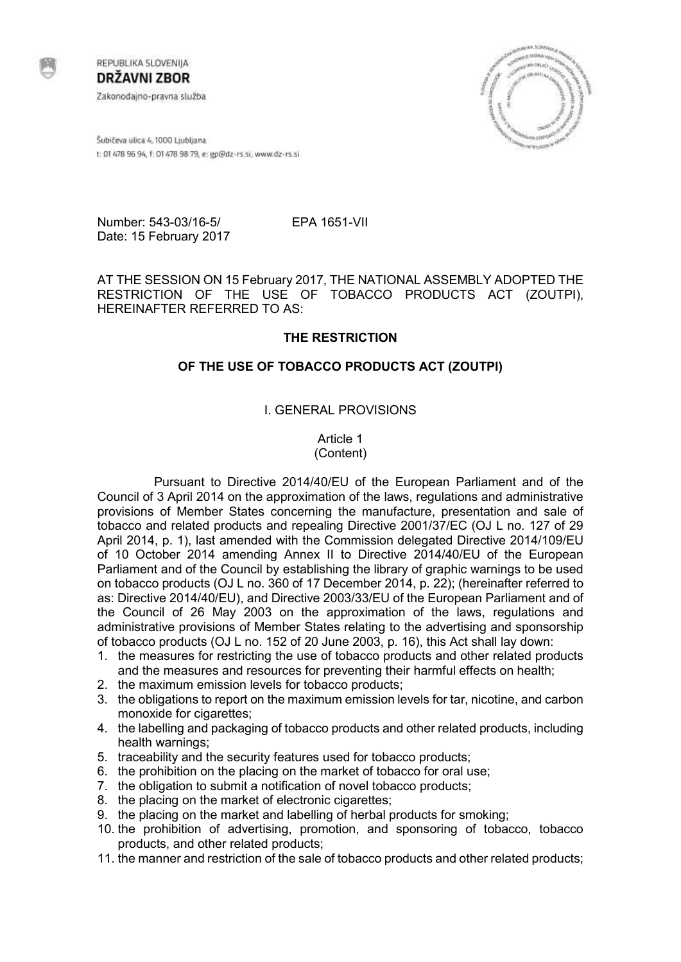

REPUBLIKA SLOVENIJA **DRŽAVNI ZBOR** Zakonodajno-pravna služba



Šubičeva ulica 4, 1000 Ljubljana t: 01 478 96 94, f: 01 478 98 79, e: gp@dz-rs.si, www.dz-rs.si

Number: 543-03/16-5/ EPA 1651-VII Date: 15 February 2017

AT THE SESSION ON 15 February 2017, THE NATIONAL ASSEMBLY ADOPTED THE RESTRICTION OF THE USE OF TOBACCO PRODUCTS ACT (ZOUTPI), HEREINAFTER REFERRED TO AS:

## **THE RESTRICTION**

## **OF THE USE OF TOBACCO PRODUCTS ACT (ZOUTPI)**

## I. GENERAL PROVISIONS

Article 1 (Content)

Pursuant to Directive 2014/40/EU of the European Parliament and of the Council of 3 April 2014 on the approximation of the laws, regulations and administrative provisions of Member States concerning the manufacture, presentation and sale of tobacco and related products and repealing Directive 2001/37/EC (OJ L no. 127 of 29 April 2014, p. 1), last amended with the Commission delegated Directive 2014/109/EU of 10 October 2014 amending Annex II to Directive 2014/40/EU of the European Parliament and of the Council by establishing the library of graphic warnings to be used on tobacco products (OJ L no. 360 of 17 December 2014, p. 22); (hereinafter referred to as: Directive 2014/40/EU), and Directive 2003/33/EU of the European Parliament and of the Council of 26 May 2003 on the approximation of the laws, regulations and administrative provisions of Member States relating to the advertising and sponsorship of tobacco products (OJ L no. 152 of 20 June 2003, p. 16), this Act shall lay down:

- 1. the measures for restricting the use of tobacco products and other related products and the measures and resources for preventing their harmful effects on health;
- 2. the maximum emission levels for tobacco products;
- 3. the obligations to report on the maximum emission levels for tar, nicotine, and carbon monoxide for cigarettes;
- 4. the labelling and packaging of tobacco products and other related products, including health warnings;
- 5. traceability and the security features used for tobacco products;
- 6. the prohibition on the placing on the market of tobacco for oral use;
- 7. the obligation to submit a notification of novel tobacco products;
- 8. the placing on the market of electronic cigarettes;
- 9. the placing on the market and labelling of herbal products for smoking;
- 10. the prohibition of advertising, promotion, and sponsoring of tobacco, tobacco products, and other related products;
- 11. the manner and restriction of the sale of tobacco products and other related products;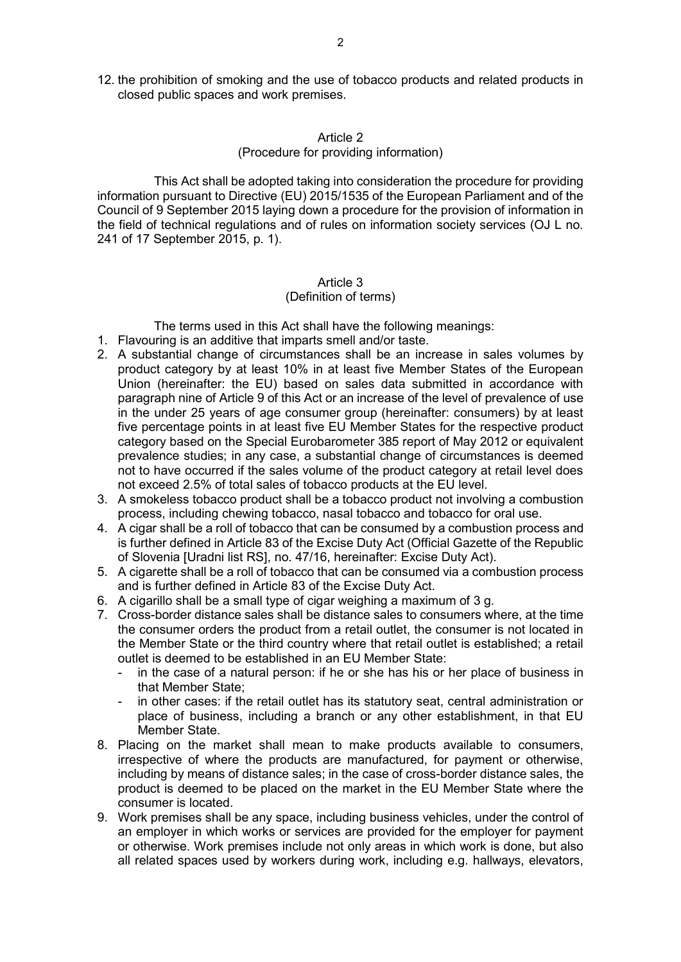12. the prohibition of smoking and the use of tobacco products and related products in closed public spaces and work premises.

### Article 2

### (Procedure for providing information)

This Act shall be adopted taking into consideration the procedure for providing information pursuant to Directive (EU) 2015/1535 of the European Parliament and of the Council of 9 September 2015 laying down a procedure for the provision of information in the field of technical regulations and of rules on information society services (OJ L no. 241 of 17 September 2015, p. 1).

# Article 3

## (Definition of terms)

The terms used in this Act shall have the following meanings:

- 1. Flavouring is an additive that imparts smell and/or taste.
- 2. A substantial change of circumstances shall be an increase in sales volumes by product category by at least 10% in at least five Member States of the European Union (hereinafter: the EU) based on sales data submitted in accordance with paragraph nine of Article 9 of this Act or an increase of the level of prevalence of use in the under 25 years of age consumer group (hereinafter: consumers) by at least five percentage points in at least five EU Member States for the respective product category based on the Special Eurobarometer 385 report of May 2012 or equivalent prevalence studies; in any case, a substantial change of circumstances is deemed not to have occurred if the sales volume of the product category at retail level does not exceed 2.5% of total sales of tobacco products at the EU level.
- 3. A smokeless tobacco product shall be a tobacco product not involving a combustion process, including chewing tobacco, nasal tobacco and tobacco for oral use.
- 4. A cigar shall be a roll of tobacco that can be consumed by a combustion process and is further defined in Article 83 of the Excise Duty Act (Official Gazette of the Republic of Slovenia [Uradni list RS], no. 47/16, hereinafter: Excise Duty Act).
- 5. A cigarette shall be a roll of tobacco that can be consumed via a combustion process and is further defined in Article 83 of the Excise Duty Act.
- 6. A cigarillo shall be a small type of cigar weighing a maximum of 3 g.
- 7. Cross-border distance sales shall be distance sales to consumers where, at the time the consumer orders the product from a retail outlet, the consumer is not located in the Member State or the third country where that retail outlet is established; a retail outlet is deemed to be established in an EU Member State:
	- in the case of a natural person: if he or she has his or her place of business in that Member State;
	- in other cases: if the retail outlet has its statutory seat, central administration or place of business, including a branch or any other establishment, in that EU Member State.
- 8. Placing on the market shall mean to make products available to consumers, irrespective of where the products are manufactured, for payment or otherwise, including by means of distance sales; in the case of cross-border distance sales, the product is deemed to be placed on the market in the EU Member State where the consumer is located.
- 9. Work premises shall be any space, including business vehicles, under the control of an employer in which works or services are provided for the employer for payment or otherwise. Work premises include not only areas in which work is done, but also all related spaces used by workers during work, including e.g. hallways, elevators,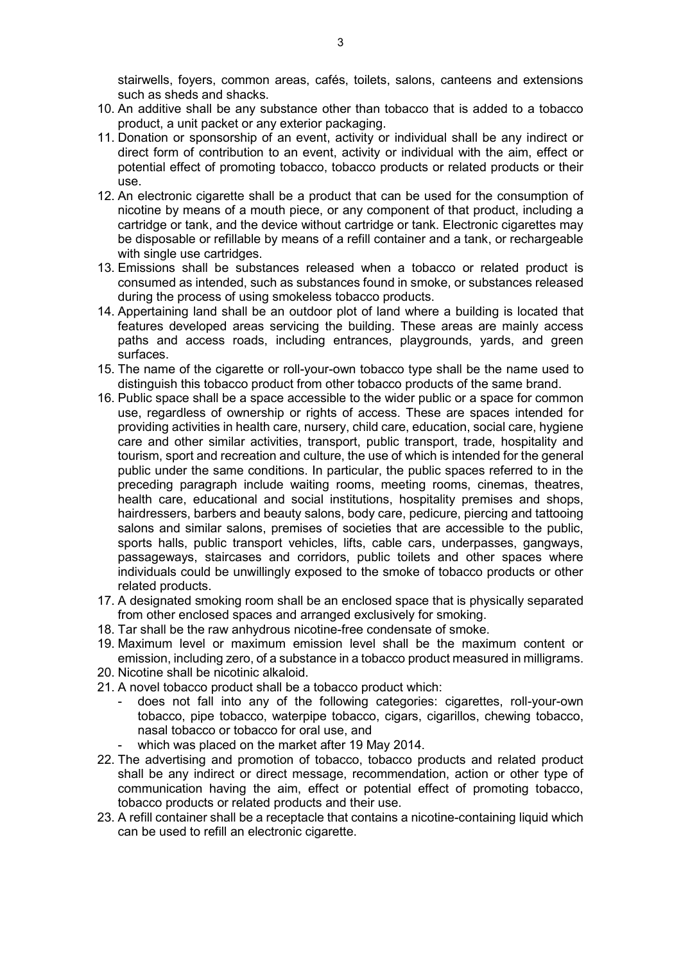stairwells, foyers, common areas, cafés, toilets, salons, canteens and extensions such as sheds and shacks.

- 10. An additive shall be any substance other than tobacco that is added to a tobacco product, a unit packet or any exterior packaging.
- 11. Donation or sponsorship of an event, activity or individual shall be any indirect or direct form of contribution to an event, activity or individual with the aim, effect or potential effect of promoting tobacco, tobacco products or related products or their use.
- 12. An electronic cigarette shall be a product that can be used for the consumption of nicotine by means of a mouth piece, or any component of that product, including a cartridge or tank, and the device without cartridge or tank. Electronic cigarettes may be disposable or refillable by means of a refill container and a tank, or rechargeable with single use cartridges.
- 13. Emissions shall be substances released when a tobacco or related product is consumed as intended, such as substances found in smoke, or substances released during the process of using smokeless tobacco products.
- 14. Appertaining land shall be an outdoor plot of land where a building is located that features developed areas servicing the building. These areas are mainly access paths and access roads, including entrances, playgrounds, yards, and green surfaces.
- 15. The name of the cigarette or roll-your-own tobacco type shall be the name used to distinguish this tobacco product from other tobacco products of the same brand.
- 16. Public space shall be a space accessible to the wider public or a space for common use, regardless of ownership or rights of access. These are spaces intended for providing activities in health care, nursery, child care, education, social care, hygiene care and other similar activities, transport, public transport, trade, hospitality and tourism, sport and recreation and culture, the use of which is intended for the general public under the same conditions. In particular, the public spaces referred to in the preceding paragraph include waiting rooms, meeting rooms, cinemas, theatres, health care, educational and social institutions, hospitality premises and shops, hairdressers, barbers and beauty salons, body care, pedicure, piercing and tattooing salons and similar salons, premises of societies that are accessible to the public, sports halls, public transport vehicles, lifts, cable cars, underpasses, gangways, passageways, staircases and corridors, public toilets and other spaces where individuals could be unwillingly exposed to the smoke of tobacco products or other related products.
- 17. A designated smoking room shall be an enclosed space that is physically separated from other enclosed spaces and arranged exclusively for smoking.
- 18. Tar shall be the raw anhydrous nicotine-free condensate of smoke.
- 19. Maximum level or maximum emission level shall be the maximum content or emission, including zero, of a substance in a tobacco product measured in milligrams.
- 20. Nicotine shall be nicotinic alkaloid.
- 21. A novel tobacco product shall be a tobacco product which:
	- does not fall into any of the following categories: cigarettes, roll-your-own tobacco, pipe tobacco, waterpipe tobacco, cigars, cigarillos, chewing tobacco, nasal tobacco or tobacco for oral use, and
	- which was placed on the market after 19 May 2014.
- 22. The advertising and promotion of tobacco, tobacco products and related product shall be any indirect or direct message, recommendation, action or other type of communication having the aim, effect or potential effect of promoting tobacco, tobacco products or related products and their use.
- 23. A refill container shall be a receptacle that contains a nicotine-containing liquid which can be used to refill an electronic cigarette.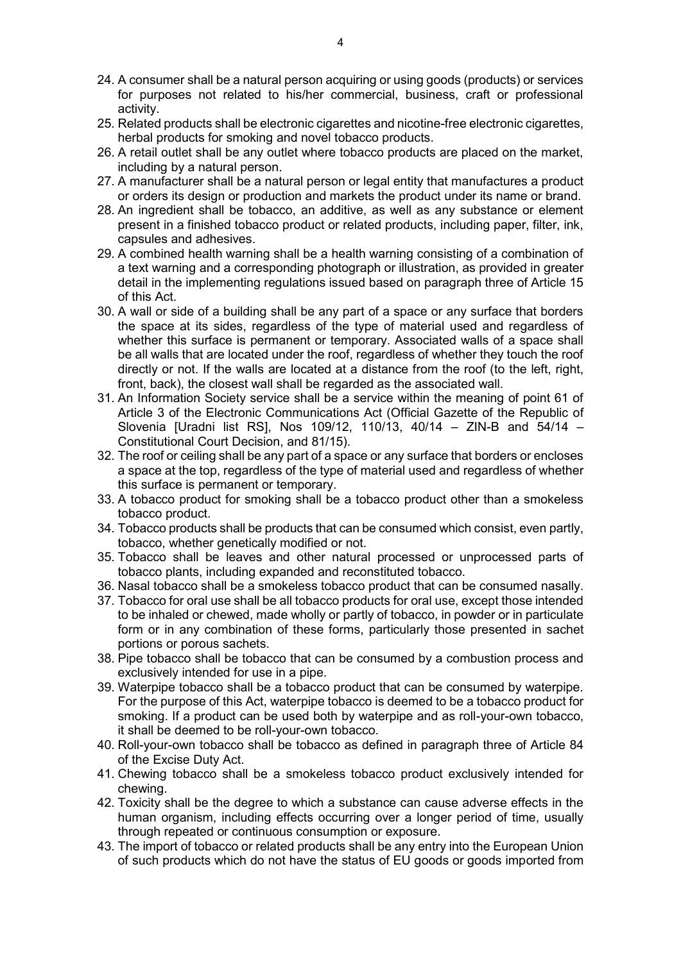- 24. A consumer shall be a natural person acquiring or using goods (products) or services for purposes not related to his/her commercial, business, craft or professional activity.
- 25. Related products shall be electronic cigarettes and nicotine-free electronic cigarettes, herbal products for smoking and novel tobacco products.
- 26. A retail outlet shall be any outlet where tobacco products are placed on the market, including by a natural person.
- 27. A manufacturer shall be a natural person or legal entity that manufactures a product or orders its design or production and markets the product under its name or brand.
- 28. An ingredient shall be tobacco, an additive, as well as any substance or element present in a finished tobacco product or related products, including paper, filter, ink, capsules and adhesives.
- 29. A combined health warning shall be a health warning consisting of a combination of a text warning and a corresponding photograph or illustration, as provided in greater detail in the implementing regulations issued based on paragraph three of Article 15 of this Act.
- 30. A wall or side of a building shall be any part of a space or any surface that borders the space at its sides, regardless of the type of material used and regardless of whether this surface is permanent or temporary. Associated walls of a space shall be all walls that are located under the roof, regardless of whether they touch the roof directly or not. If the walls are located at a distance from the roof (to the left, right, front, back), the closest wall shall be regarded as the associated wall.
- 31. An Information Society service shall be a service within the meaning of point 61 of Article 3 of the Electronic Communications Act (Official Gazette of the Republic of Slovenia [Uradni list RS], Nos 109/12, 110/13, 40/14 – ZIN-B and 54/14 – Constitutional Court Decision, and 81/15).
- 32. The roof or ceiling shall be any part of a space or any surface that borders or encloses a space at the top, regardless of the type of material used and regardless of whether this surface is permanent or temporary.
- 33. A tobacco product for smoking shall be a tobacco product other than a smokeless tobacco product.
- 34. Tobacco products shall be products that can be consumed which consist, even partly, tobacco, whether genetically modified or not.
- 35. Tobacco shall be leaves and other natural processed or unprocessed parts of tobacco plants, including expanded and reconstituted tobacco.
- 36. Nasal tobacco shall be a smokeless tobacco product that can be consumed nasally.
- 37. Tobacco for oral use shall be all tobacco products for oral use, except those intended to be inhaled or chewed, made wholly or partly of tobacco, in powder or in particulate form or in any combination of these forms, particularly those presented in sachet portions or porous sachets.
- 38. Pipe tobacco shall be tobacco that can be consumed by a combustion process and exclusively intended for use in a pipe.
- 39. Waterpipe tobacco shall be a tobacco product that can be consumed by waterpipe. For the purpose of this Act, waterpipe tobacco is deemed to be a tobacco product for smoking. If a product can be used both by waterpipe and as roll-your-own tobacco, it shall be deemed to be roll-your-own tobacco.
- 40. Roll-your-own tobacco shall be tobacco as defined in paragraph three of Article 84 of the Excise Duty Act.
- 41. Chewing tobacco shall be a smokeless tobacco product exclusively intended for chewing.
- 42. Toxicity shall be the degree to which a substance can cause adverse effects in the human organism, including effects occurring over a longer period of time, usually through repeated or continuous consumption or exposure.
- 43. The import of tobacco or related products shall be any entry into the European Union of such products which do not have the status of EU goods or goods imported from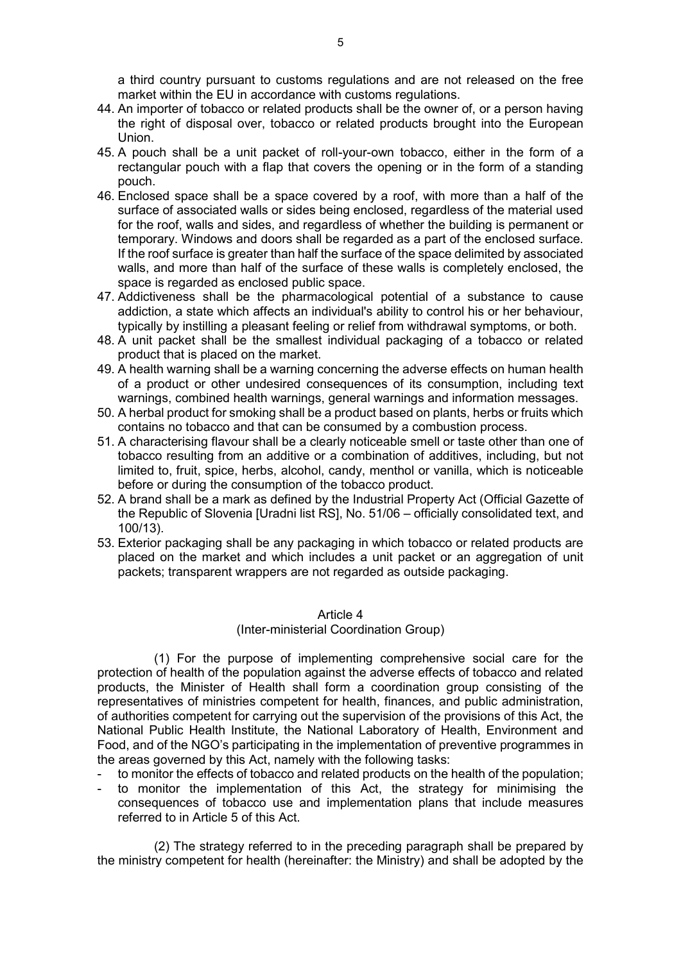a third country pursuant to customs regulations and are not released on the free market within the EU in accordance with customs regulations.

- 44. An importer of tobacco or related products shall be the owner of, or a person having the right of disposal over, tobacco or related products brought into the European Union.
- 45. A pouch shall be a unit packet of roll-your-own tobacco, either in the form of a rectangular pouch with a flap that covers the opening or in the form of a standing pouch.
- 46. Enclosed space shall be a space covered by a roof, with more than a half of the surface of associated walls or sides being enclosed, regardless of the material used for the roof, walls and sides, and regardless of whether the building is permanent or temporary. Windows and doors shall be regarded as a part of the enclosed surface. If the roof surface is greater than half the surface of the space delimited by associated walls, and more than half of the surface of these walls is completely enclosed, the space is regarded as enclosed public space.
- 47. Addictiveness shall be the pharmacological potential of a substance to cause addiction, a state which affects an individual's ability to control his or her behaviour, typically by instilling a pleasant feeling or relief from withdrawal symptoms, or both.
- 48. A unit packet shall be the smallest individual packaging of a tobacco or related product that is placed on the market.
- 49. A health warning shall be a warning concerning the adverse effects on human health of a product or other undesired consequences of its consumption, including text warnings, combined health warnings, general warnings and information messages.
- 50. A herbal product for smoking shall be a product based on plants, herbs or fruits which contains no tobacco and that can be consumed by a combustion process.
- 51. A characterising flavour shall be a clearly noticeable smell or taste other than one of tobacco resulting from an additive or a combination of additives, including, but not limited to, fruit, spice, herbs, alcohol, candy, menthol or vanilla, which is noticeable before or during the consumption of the tobacco product.
- 52. A brand shall be a mark as defined by the Industrial Property Act (Official Gazette of the Republic of Slovenia [Uradni list RS], No. 51/06 – officially consolidated text, and 100/13).
- 53. Exterior packaging shall be any packaging in which tobacco or related products are placed on the market and which includes a unit packet or an aggregation of unit packets; transparent wrappers are not regarded as outside packaging.

### Article 4

### (Inter-ministerial Coordination Group)

(1) For the purpose of implementing comprehensive social care for the protection of health of the population against the adverse effects of tobacco and related products, the Minister of Health shall form a coordination group consisting of the representatives of ministries competent for health, finances, and public administration, of authorities competent for carrying out the supervision of the provisions of this Act, the National Public Health Institute, the National Laboratory of Health, Environment and Food, and of the NGO's participating in the implementation of preventive programmes in the areas governed by this Act, namely with the following tasks:

- to monitor the effects of tobacco and related products on the health of the population;
- to monitor the implementation of this Act, the strategy for minimising the consequences of tobacco use and implementation plans that include measures referred to in Article 5 of this Act.

(2) The strategy referred to in the preceding paragraph shall be prepared by the ministry competent for health (hereinafter: the Ministry) and shall be adopted by the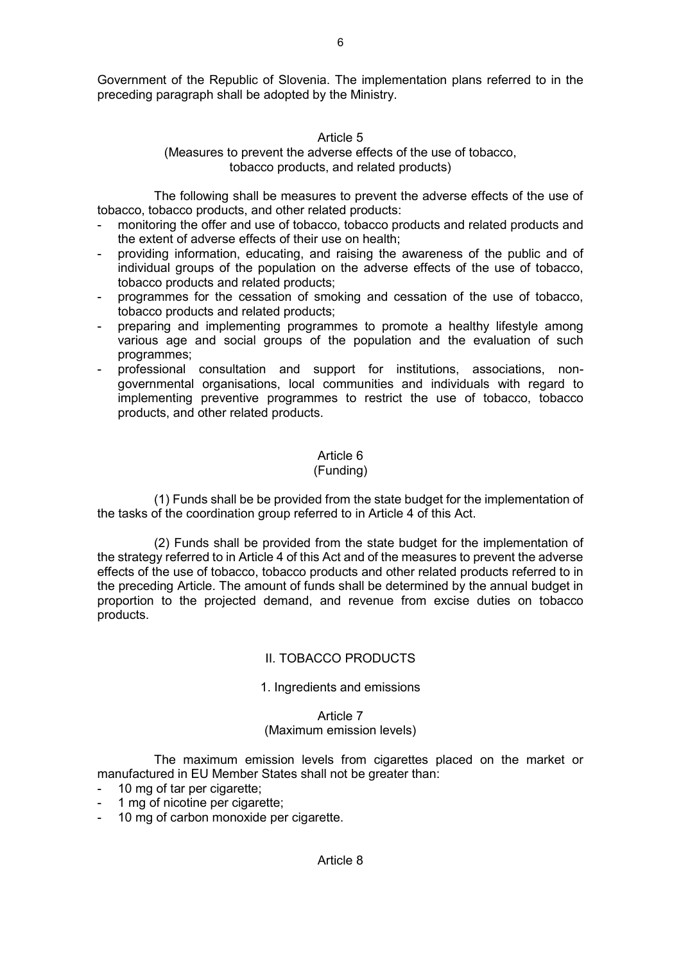## Article 5

## (Measures to prevent the adverse effects of the use of tobacco, tobacco products, and related products)

The following shall be measures to prevent the adverse effects of the use of tobacco, tobacco products, and other related products:

- monitoring the offer and use of tobacco, tobacco products and related products and the extent of adverse effects of their use on health;
- providing information, educating, and raising the awareness of the public and of individual groups of the population on the adverse effects of the use of tobacco, tobacco products and related products;
- programmes for the cessation of smoking and cessation of the use of tobacco, tobacco products and related products;
- preparing and implementing programmes to promote a healthy lifestyle among various age and social groups of the population and the evaluation of such programmes;
- professional consultation and support for institutions, associations, nongovernmental organisations, local communities and individuals with regard to implementing preventive programmes to restrict the use of tobacco, tobacco products, and other related products.

# Article 6

## (Funding)

(1) Funds shall be be provided from the state budget for the implementation of the tasks of the coordination group referred to in Article 4 of this Act.

(2) Funds shall be provided from the state budget for the implementation of the strategy referred to in Article 4 of this Act and of the measures to prevent the adverse effects of the use of tobacco, tobacco products and other related products referred to in the preceding Article. The amount of funds shall be determined by the annual budget in proportion to the projected demand, and revenue from excise duties on tobacco products.

## II. TOBACCO PRODUCTS

## 1. Ingredients and emissions

# Article 7

## (Maximum emission levels)

The maximum emission levels from cigarettes placed on the market or manufactured in EU Member States shall not be greater than:

- 10 mg of tar per cigarette;
- 1 mg of nicotine per cigarette;
- 10 mg of carbon monoxide per cigarette.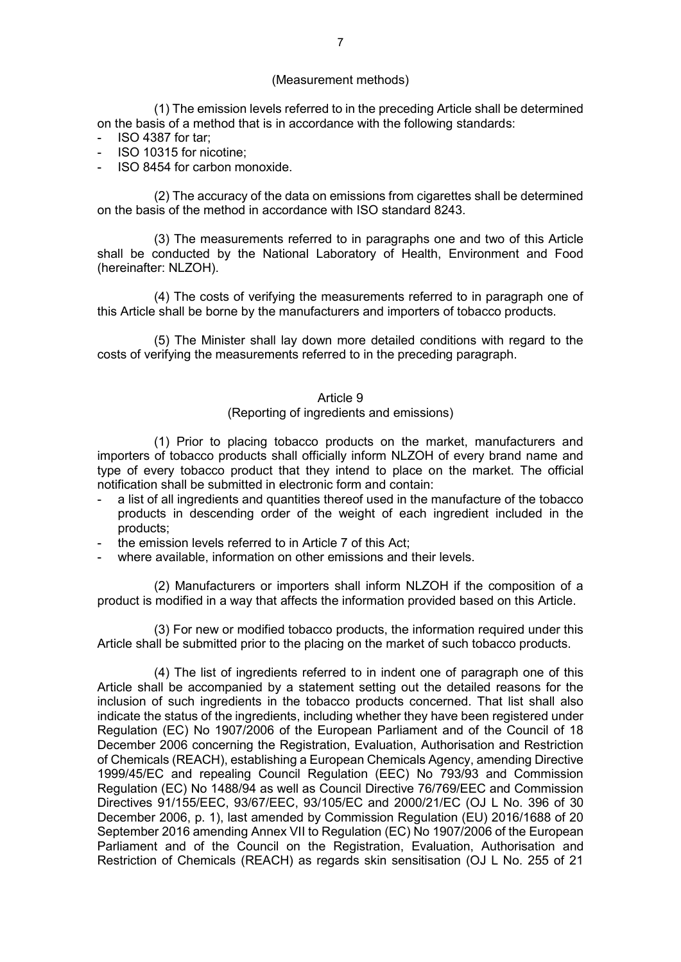### (Measurement methods)

(1) The emission levels referred to in the preceding Article shall be determined on the basis of a method that is in accordance with the following standards:

- ISO 4387 for tar;
- ISO 10315 for nicotine;
- ISO 8454 for carbon monoxide.

(2) The accuracy of the data on emissions from cigarettes shall be determined on the basis of the method in accordance with ISO standard 8243.

(3) The measurements referred to in paragraphs one and two of this Article shall be conducted by the National Laboratory of Health, Environment and Food (hereinafter: NLZOH).

(4) The costs of verifying the measurements referred to in paragraph one of this Article shall be borne by the manufacturers and importers of tobacco products.

(5) The Minister shall lay down more detailed conditions with regard to the costs of verifying the measurements referred to in the preceding paragraph.

#### Article 9

### (Reporting of ingredients and emissions)

(1) Prior to placing tobacco products on the market, manufacturers and importers of tobacco products shall officially inform NLZOH of every brand name and type of every tobacco product that they intend to place on the market. The official notification shall be submitted in electronic form and contain:

- a list of all ingredients and quantities thereof used in the manufacture of the tobacco products in descending order of the weight of each ingredient included in the products;
- the emission levels referred to in Article 7 of this Act;
- where available, information on other emissions and their levels.

(2) Manufacturers or importers shall inform NLZOH if the composition of a product is modified in a way that affects the information provided based on this Article.

(3) For new or modified tobacco products, the information required under this Article shall be submitted prior to the placing on the market of such tobacco products.

(4) The list of ingredients referred to in indent one of paragraph one of this Article shall be accompanied by a statement setting out the detailed reasons for the inclusion of such ingredients in the tobacco products concerned. That list shall also indicate the status of the ingredients, including whether they have been registered under Regulation (EC) No 1907/2006 of the European Parliament and of the Council of 18 December 2006 concerning the Registration, Evaluation, Authorisation and Restriction of Chemicals (REACH), establishing a European Chemicals Agency, amending Directive 1999/45/EC and repealing Council Regulation (EEC) No 793/93 and Commission Regulation (EC) No 1488/94 as well as Council Directive 76/769/EEC and Commission Directives 91/155/EEC, 93/67/EEC, 93/105/EC and 2000/21/EC (OJ L No. 396 of 30 December 2006, p. 1), last amended by Commission Regulation (EU) 2016/1688 of 20 September 2016 amending Annex VII to Regulation (EC) No 1907/2006 of the European Parliament and of the Council on the Registration, Evaluation, Authorisation and Restriction of Chemicals (REACH) as regards skin sensitisation (OJ L No. 255 of 21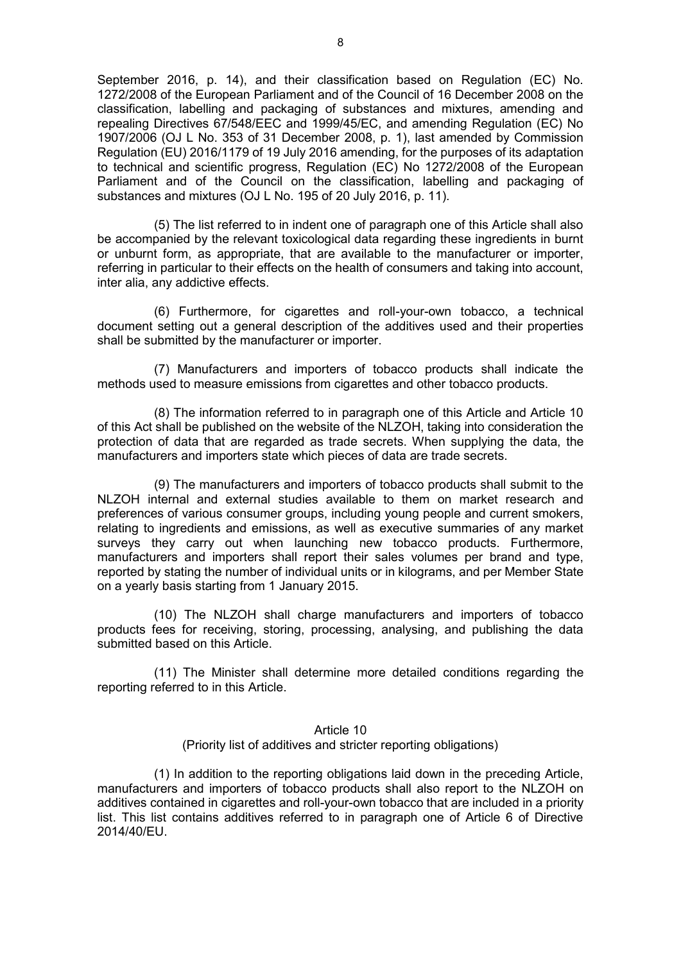September 2016, p. 14), and their classification based on Regulation (EC) No. 1272/2008 of the European Parliament and of the Council of 16 December 2008 on the classification, labelling and packaging of substances and mixtures, amending and repealing Directives 67/548/EEC and 1999/45/EC, and amending Regulation (EC) No 1907/2006 (OJ L No. 353 of 31 December 2008, p. 1), last amended by Commission Regulation (EU) 2016/1179 of 19 July 2016 amending, for the purposes of its adaptation to technical and scientific progress, Regulation (EC) No 1272/2008 of the European Parliament and of the Council on the classification, labelling and packaging of substances and mixtures (OJ L No. 195 of 20 July 2016, p. 11).

(5) The list referred to in indent one of paragraph one of this Article shall also be accompanied by the relevant toxicological data regarding these ingredients in burnt or unburnt form, as appropriate, that are available to the manufacturer or importer, referring in particular to their effects on the health of consumers and taking into account, inter alia, any addictive effects.

(6) Furthermore, for cigarettes and roll-your-own tobacco, a technical document setting out a general description of the additives used and their properties shall be submitted by the manufacturer or importer.

(7) Manufacturers and importers of tobacco products shall indicate the methods used to measure emissions from cigarettes and other tobacco products.

(8) The information referred to in paragraph one of this Article and Article 10 of this Act shall be published on the website of the NLZOH, taking into consideration the protection of data that are regarded as trade secrets. When supplying the data, the manufacturers and importers state which pieces of data are trade secrets.

(9) The manufacturers and importers of tobacco products shall submit to the NLZOH internal and external studies available to them on market research and preferences of various consumer groups, including young people and current smokers, relating to ingredients and emissions, as well as executive summaries of any market surveys they carry out when launching new tobacco products. Furthermore, manufacturers and importers shall report their sales volumes per brand and type, reported by stating the number of individual units or in kilograms, and per Member State on a yearly basis starting from 1 January 2015.

(10) The NLZOH shall charge manufacturers and importers of tobacco products fees for receiving, storing, processing, analysing, and publishing the data submitted based on this Article.

(11) The Minister shall determine more detailed conditions regarding the reporting referred to in this Article.

## Article 10

(Priority list of additives and stricter reporting obligations)

(1) In addition to the reporting obligations laid down in the preceding Article, manufacturers and importers of tobacco products shall also report to the NLZOH on additives contained in cigarettes and roll-your-own tobacco that are included in a priority list. This list contains additives referred to in paragraph one of Article 6 of Directive 2014/40/EU.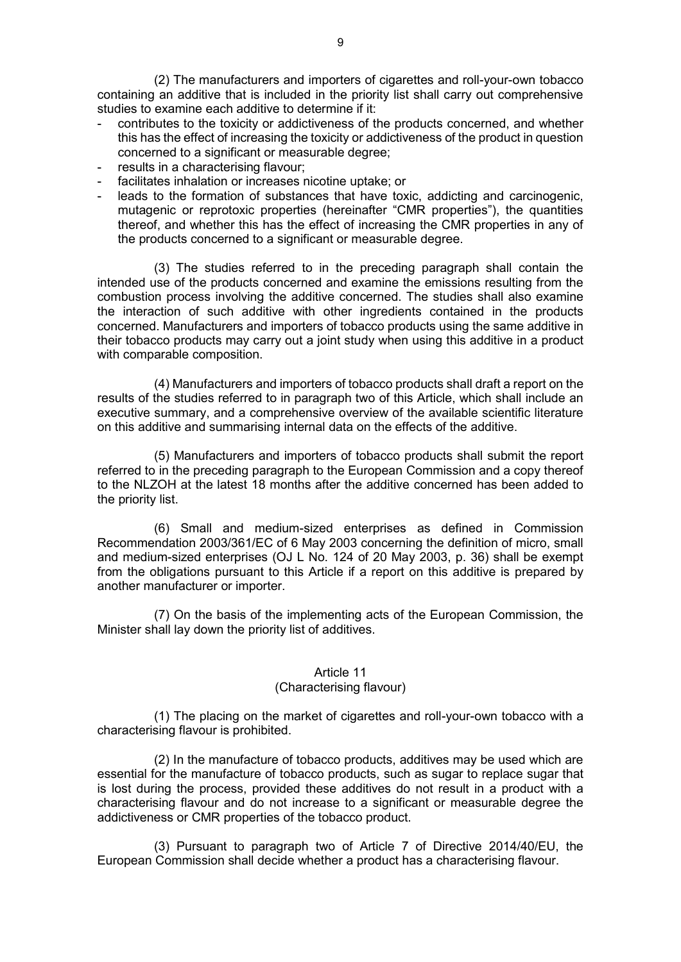(2) The manufacturers and importers of cigarettes and roll-your-own tobacco containing an additive that is included in the priority list shall carry out comprehensive studies to examine each additive to determine if it:

- contributes to the toxicity or addictiveness of the products concerned, and whether this has the effect of increasing the toxicity or addictiveness of the product in question concerned to a significant or measurable degree;
- results in a characterising flavour;
- facilitates inhalation or increases nicotine uptake; or
- leads to the formation of substances that have toxic, addicting and carcinogenic, mutagenic or reprotoxic properties (hereinafter "CMR properties"), the quantities thereof, and whether this has the effect of increasing the CMR properties in any of the products concerned to a significant or measurable degree.

(3) The studies referred to in the preceding paragraph shall contain the intended use of the products concerned and examine the emissions resulting from the combustion process involving the additive concerned. The studies shall also examine the interaction of such additive with other ingredients contained in the products concerned. Manufacturers and importers of tobacco products using the same additive in their tobacco products may carry out a joint study when using this additive in a product with comparable composition.

(4) Manufacturers and importers of tobacco products shall draft a report on the results of the studies referred to in paragraph two of this Article, which shall include an executive summary, and a comprehensive overview of the available scientific literature on this additive and summarising internal data on the effects of the additive.

(5) Manufacturers and importers of tobacco products shall submit the report referred to in the preceding paragraph to the European Commission and a copy thereof to the NLZOH at the latest 18 months after the additive concerned has been added to the priority list.

(6) Small and medium-sized enterprises as defined in Commission Recommendation 2003/361/EC of 6 May 2003 concerning the definition of micro, small and medium-sized enterprises (OJ L No. 124 of 20 May 2003, p. 36) shall be exempt from the obligations pursuant to this Article if a report on this additive is prepared by another manufacturer or importer.

(7) On the basis of the implementing acts of the European Commission, the Minister shall lay down the priority list of additives.

## Article 11

## (Characterising flavour)

(1) The placing on the market of cigarettes and roll-your-own tobacco with a characterising flavour is prohibited.

(2) In the manufacture of tobacco products, additives may be used which are essential for the manufacture of tobacco products, such as sugar to replace sugar that is lost during the process, provided these additives do not result in a product with a characterising flavour and do not increase to a significant or measurable degree the addictiveness or CMR properties of the tobacco product.

(3) Pursuant to paragraph two of Article 7 of Directive 2014/40/EU, the European Commission shall decide whether a product has a characterising flavour.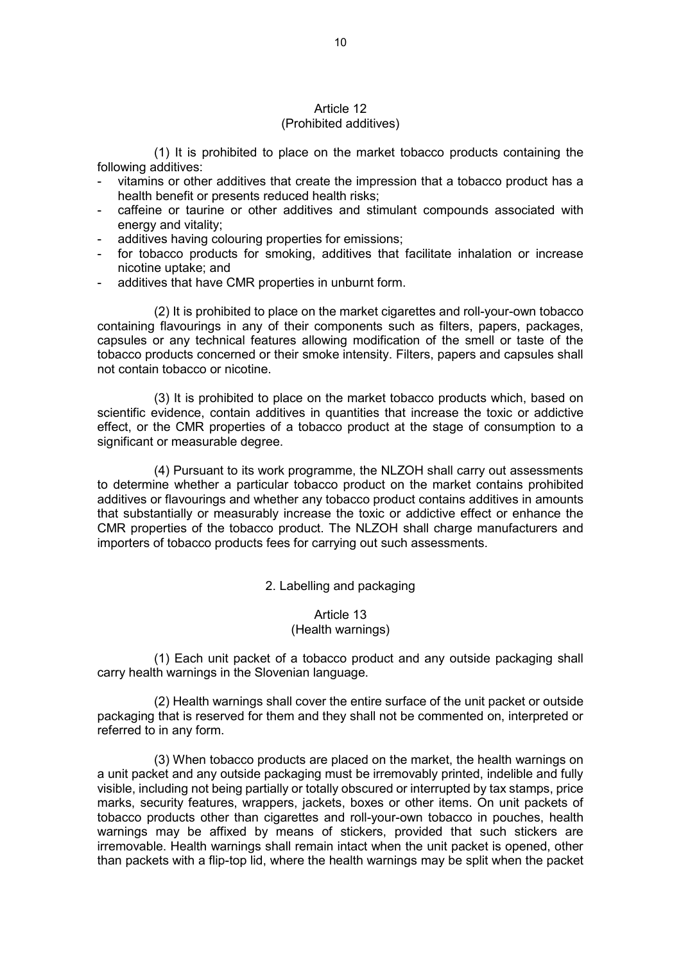### Article 12 (Prohibited additives)

(1) It is prohibited to place on the market tobacco products containing the following additives:

- vitamins or other additives that create the impression that a tobacco product has a health benefit or presents reduced health risks;
- caffeine or taurine or other additives and stimulant compounds associated with energy and vitality;
- additives having colouring properties for emissions;
- for tobacco products for smoking, additives that facilitate inhalation or increase nicotine uptake; and
- additives that have CMR properties in unburnt form.

(2) It is prohibited to place on the market cigarettes and roll-your-own tobacco containing flavourings in any of their components such as filters, papers, packages, capsules or any technical features allowing modification of the smell or taste of the tobacco products concerned or their smoke intensity. Filters, papers and capsules shall not contain tobacco or nicotine.

(3) It is prohibited to place on the market tobacco products which, based on scientific evidence, contain additives in quantities that increase the toxic or addictive effect, or the CMR properties of a tobacco product at the stage of consumption to a significant or measurable degree.

(4) Pursuant to its work programme, the NLZOH shall carry out assessments to determine whether a particular tobacco product on the market contains prohibited additives or flavourings and whether any tobacco product contains additives in amounts that substantially or measurably increase the toxic or addictive effect or enhance the CMR properties of the tobacco product. The NLZOH shall charge manufacturers and importers of tobacco products fees for carrying out such assessments.

### 2. Labelling and packaging

## Article 13 (Health warnings)

(1) Each unit packet of a tobacco product and any outside packaging shall carry health warnings in the Slovenian language.

(2) Health warnings shall cover the entire surface of the unit packet or outside packaging that is reserved for them and they shall not be commented on, interpreted or referred to in any form.

(3) When tobacco products are placed on the market, the health warnings on a unit packet and any outside packaging must be irremovably printed, indelible and fully visible, including not being partially or totally obscured or interrupted by tax stamps, price marks, security features, wrappers, jackets, boxes or other items. On unit packets of tobacco products other than cigarettes and roll-your-own tobacco in pouches, health warnings may be affixed by means of stickers, provided that such stickers are irremovable. Health warnings shall remain intact when the unit packet is opened, other than packets with a flip-top lid, where the health warnings may be split when the packet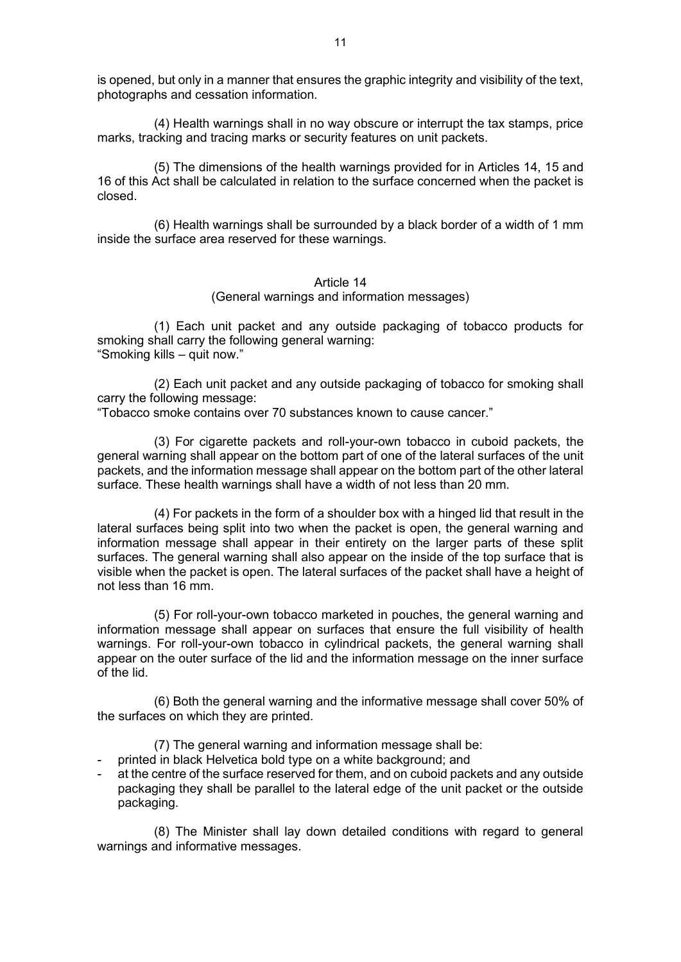is opened, but only in a manner that ensures the graphic integrity and visibility of the text, photographs and cessation information.

(4) Health warnings shall in no way obscure or interrupt the tax stamps, price marks, tracking and tracing marks or security features on unit packets.

(5) The dimensions of the health warnings provided for in Articles 14, 15 and 16 of this Act shall be calculated in relation to the surface concerned when the packet is closed.

(6) Health warnings shall be surrounded by a black border of a width of 1 mm inside the surface area reserved for these warnings.

#### Article 14

## (General warnings and information messages)

(1) Each unit packet and any outside packaging of tobacco products for smoking shall carry the following general warning: "Smoking kills – quit now."

(2) Each unit packet and any outside packaging of tobacco for smoking shall carry the following message:

"Tobacco smoke contains over 70 substances known to cause cancer."

(3) For cigarette packets and roll-your-own tobacco in cuboid packets, the general warning shall appear on the bottom part of one of the lateral surfaces of the unit packets, and the information message shall appear on the bottom part of the other lateral surface. These health warnings shall have a width of not less than 20 mm.

(4) For packets in the form of a shoulder box with a hinged lid that result in the lateral surfaces being split into two when the packet is open, the general warning and information message shall appear in their entirety on the larger parts of these split surfaces. The general warning shall also appear on the inside of the top surface that is visible when the packet is open. The lateral surfaces of the packet shall have a height of not less than 16 mm.

(5) For roll-your-own tobacco marketed in pouches, the general warning and information message shall appear on surfaces that ensure the full visibility of health warnings. For roll-your-own tobacco in cylindrical packets, the general warning shall appear on the outer surface of the lid and the information message on the inner surface of the lid.

(6) Both the general warning and the informative message shall cover 50% of the surfaces on which they are printed.

(7) The general warning and information message shall be:

- printed in black Helvetica bold type on a white background; and
- at the centre of the surface reserved for them, and on cuboid packets and any outside packaging they shall be parallel to the lateral edge of the unit packet or the outside packaging.

(8) The Minister shall lay down detailed conditions with regard to general warnings and informative messages.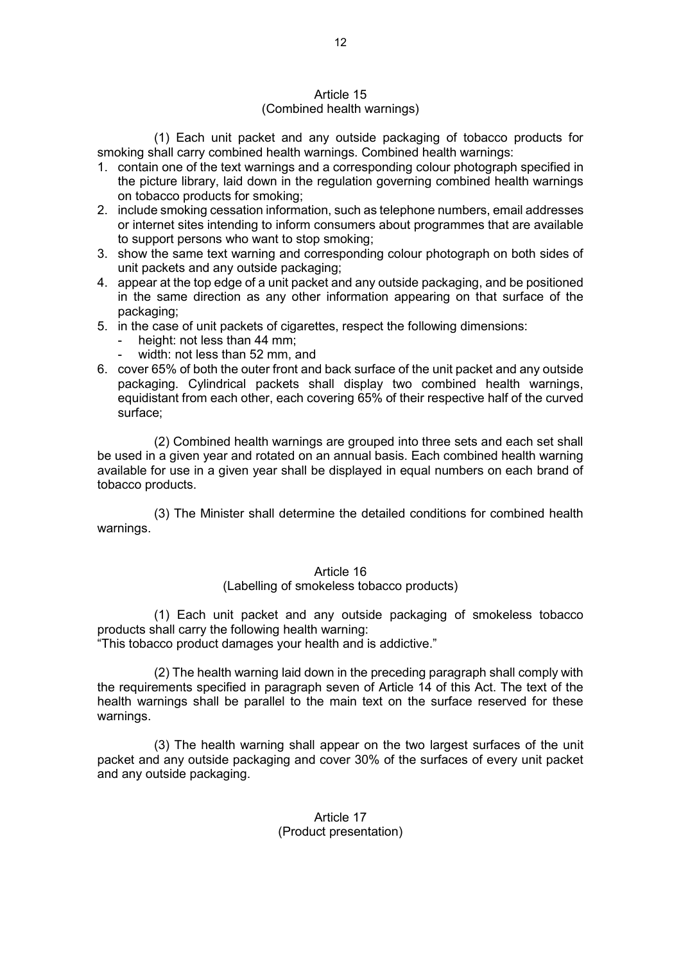### Article 15 (Combined health warnings)

(1) Each unit packet and any outside packaging of tobacco products for smoking shall carry combined health warnings. Combined health warnings:

- 1. contain one of the text warnings and a corresponding colour photograph specified in the picture library, laid down in the regulation governing combined health warnings on tobacco products for smoking;
- 2. include smoking cessation information, such as telephone numbers, email addresses or internet sites intending to inform consumers about programmes that are available to support persons who want to stop smoking;
- 3. show the same text warning and corresponding colour photograph on both sides of unit packets and any outside packaging;
- 4. appear at the top edge of a unit packet and any outside packaging, and be positioned in the same direction as any other information appearing on that surface of the packaging;
- 5. in the case of unit packets of cigarettes, respect the following dimensions:
	- height: not less than 44 mm;
	- width: not less than 52 mm, and
- 6. cover 65% of both the outer front and back surface of the unit packet and any outside packaging. Cylindrical packets shall display two combined health warnings, equidistant from each other, each covering 65% of their respective half of the curved surface;

(2) Combined health warnings are grouped into three sets and each set shall be used in a given year and rotated on an annual basis. Each combined health warning available for use in a given year shall be displayed in equal numbers on each brand of tobacco products.

(3) The Minister shall determine the detailed conditions for combined health warnings.

## Article 16

(Labelling of smokeless tobacco products)

(1) Each unit packet and any outside packaging of smokeless tobacco products shall carry the following health warning:

"This tobacco product damages your health and is addictive."

(2) The health warning laid down in the preceding paragraph shall comply with the requirements specified in paragraph seven of Article 14 of this Act. The text of the health warnings shall be parallel to the main text on the surface reserved for these warnings.

(3) The health warning shall appear on the two largest surfaces of the unit packet and any outside packaging and cover 30% of the surfaces of every unit packet and any outside packaging.

## Article 17 (Product presentation)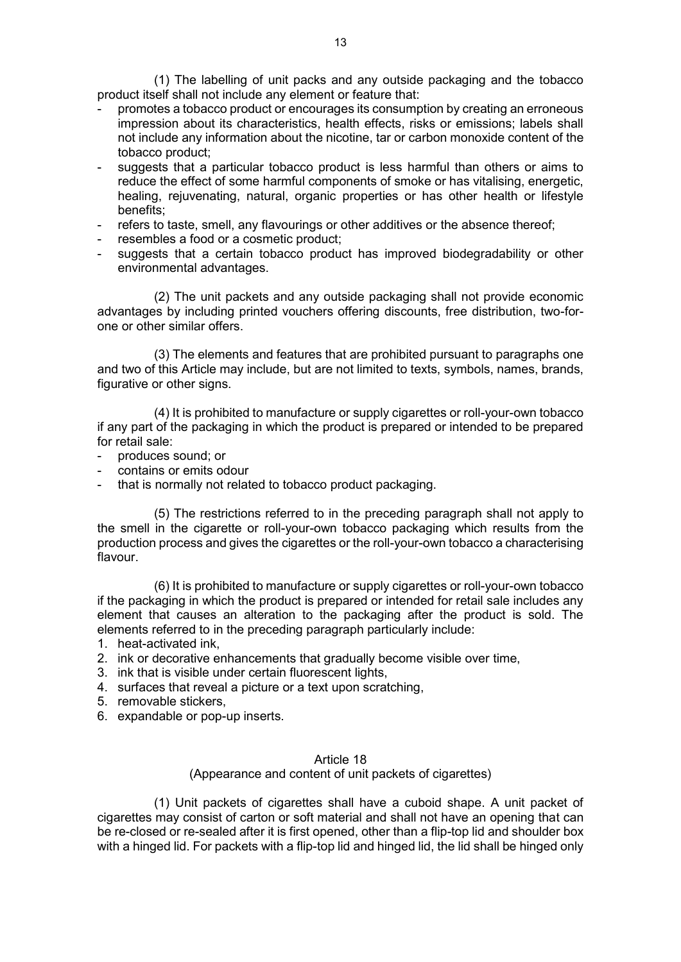(1) The labelling of unit packs and any outside packaging and the tobacco product itself shall not include any element or feature that:

- promotes a tobacco product or encourages its consumption by creating an erroneous impression about its characteristics, health effects, risks or emissions; labels shall not include any information about the nicotine, tar or carbon monoxide content of the tobacco product;
- suggests that a particular tobacco product is less harmful than others or aims to reduce the effect of some harmful components of smoke or has vitalising, energetic, healing, rejuvenating, natural, organic properties or has other health or lifestyle benefits;
- refers to taste, smell, any flavourings or other additives or the absence thereof;
- resembles a food or a cosmetic product;
- suggests that a certain tobacco product has improved biodegradability or other environmental advantages.

(2) The unit packets and any outside packaging shall not provide economic advantages by including printed vouchers offering discounts, free distribution, two-forone or other similar offers.

(3) The elements and features that are prohibited pursuant to paragraphs one and two of this Article may include, but are not limited to texts, symbols, names, brands, figurative or other signs.

(4) It is prohibited to manufacture or supply cigarettes or roll-your-own tobacco if any part of the packaging in which the product is prepared or intended to be prepared for retail sale:

- produces sound: or
- contains or emits odour
- that is normally not related to tobacco product packaging.

(5) The restrictions referred to in the preceding paragraph shall not apply to the smell in the cigarette or roll-your-own tobacco packaging which results from the production process and gives the cigarettes or the roll-your-own tobacco a characterising flavour.

(6) It is prohibited to manufacture or supply cigarettes or roll-your-own tobacco if the packaging in which the product is prepared or intended for retail sale includes any element that causes an alteration to the packaging after the product is sold. The elements referred to in the preceding paragraph particularly include:

- 1. heat-activated ink,
- 2. ink or decorative enhancements that gradually become visible over time,
- 3. ink that is visible under certain fluorescent lights,
- 4. surfaces that reveal a picture or a text upon scratching,
- 5. removable stickers,
- 6. expandable or pop-up inserts.

### Article 18

(Appearance and content of unit packets of cigarettes)

(1) Unit packets of cigarettes shall have a cuboid shape. A unit packet of cigarettes may consist of carton or soft material and shall not have an opening that can be re-closed or re-sealed after it is first opened, other than a flip-top lid and shoulder box with a hinged lid. For packets with a flip-top lid and hinged lid, the lid shall be hinged only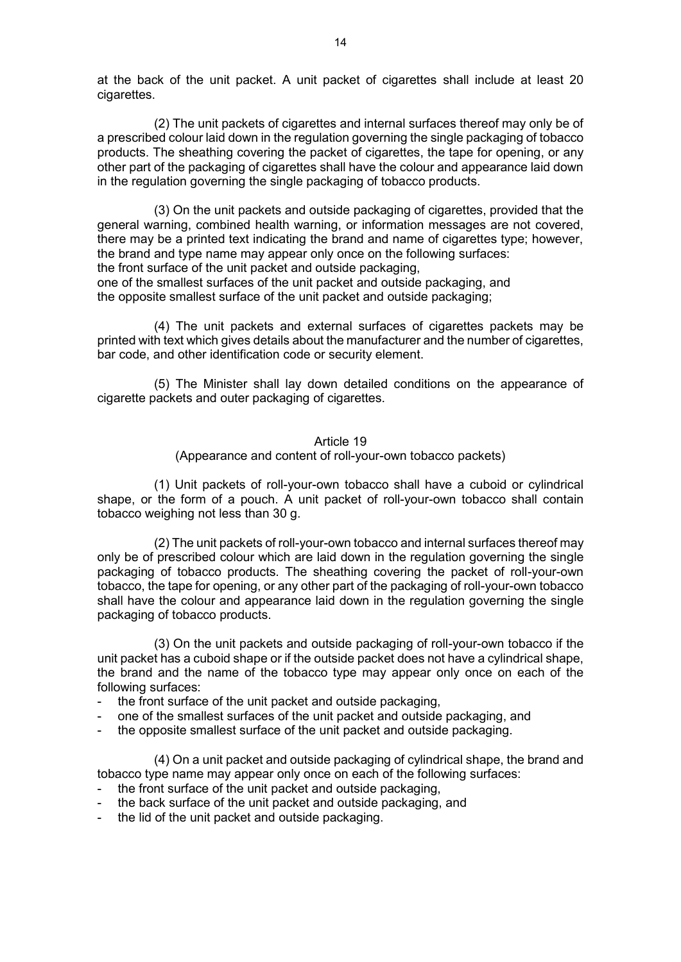at the back of the unit packet. A unit packet of cigarettes shall include at least 20 cigarettes.

(2) The unit packets of cigarettes and internal surfaces thereof may only be of a prescribed colour laid down in the regulation governing the single packaging of tobacco products. The sheathing covering the packet of cigarettes, the tape for opening, or any other part of the packaging of cigarettes shall have the colour and appearance laid down in the regulation governing the single packaging of tobacco products.

(3) On the unit packets and outside packaging of cigarettes, provided that the general warning, combined health warning, or information messages are not covered, there may be a printed text indicating the brand and name of cigarettes type; however, the brand and type name may appear only once on the following surfaces: the front surface of the unit packet and outside packaging,

one of the smallest surfaces of the unit packet and outside packaging, and the opposite smallest surface of the unit packet and outside packaging;

(4) The unit packets and external surfaces of cigarettes packets may be printed with text which gives details about the manufacturer and the number of cigarettes, bar code, and other identification code or security element.

(5) The Minister shall lay down detailed conditions on the appearance of cigarette packets and outer packaging of cigarettes.

#### Article 19

(Appearance and content of roll-your-own tobacco packets)

(1) Unit packets of roll-your-own tobacco shall have a cuboid or cylindrical shape, or the form of a pouch. A unit packet of roll-your-own tobacco shall contain tobacco weighing not less than 30 g.

(2) The unit packets of roll-your-own tobacco and internal surfaces thereof may only be of prescribed colour which are laid down in the regulation governing the single packaging of tobacco products. The sheathing covering the packet of roll-your-own tobacco, the tape for opening, or any other part of the packaging of roll-your-own tobacco shall have the colour and appearance laid down in the regulation governing the single packaging of tobacco products.

(3) On the unit packets and outside packaging of roll-your-own tobacco if the unit packet has a cuboid shape or if the outside packet does not have a cylindrical shape, the brand and the name of the tobacco type may appear only once on each of the following surfaces:

- the front surface of the unit packet and outside packaging,
- one of the smallest surfaces of the unit packet and outside packaging, and
- the opposite smallest surface of the unit packet and outside packaging.

(4) On a unit packet and outside packaging of cylindrical shape, the brand and tobacco type name may appear only once on each of the following surfaces:

- the front surface of the unit packet and outside packaging.
- the back surface of the unit packet and outside packaging, and
- the lid of the unit packet and outside packaging.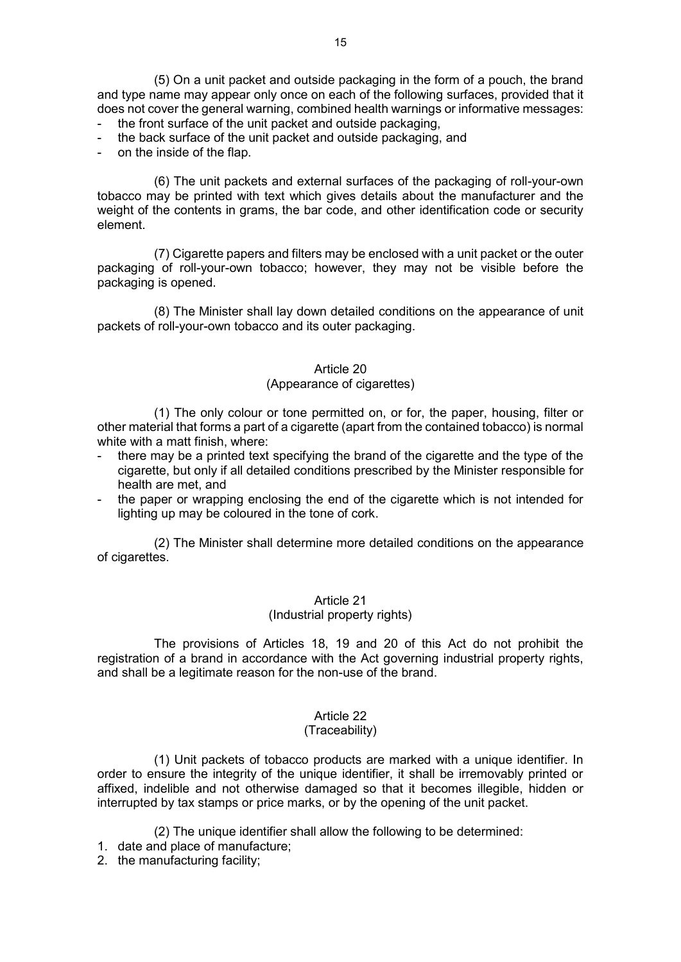(5) On a unit packet and outside packaging in the form of a pouch, the brand and type name may appear only once on each of the following surfaces, provided that it does not cover the general warning, combined health warnings or informative messages:

- the front surface of the unit packet and outside packaging,
- the back surface of the unit packet and outside packaging, and
- on the inside of the flap.

(6) The unit packets and external surfaces of the packaging of roll-your-own tobacco may be printed with text which gives details about the manufacturer and the weight of the contents in grams, the bar code, and other identification code or security element.

(7) Cigarette papers and filters may be enclosed with a unit packet or the outer packaging of roll-your-own tobacco; however, they may not be visible before the packaging is opened.

(8) The Minister shall lay down detailed conditions on the appearance of unit packets of roll-your-own tobacco and its outer packaging.

### Article 20

### (Appearance of cigarettes)

(1) The only colour or tone permitted on, or for, the paper, housing, filter or other material that forms a part of a cigarette (apart from the contained tobacco) is normal white with a matt finish, where:

- there may be a printed text specifying the brand of the cigarette and the type of the cigarette, but only if all detailed conditions prescribed by the Minister responsible for health are met, and
- the paper or wrapping enclosing the end of the cigarette which is not intended for lighting up may be coloured in the tone of cork.

(2) The Minister shall determine more detailed conditions on the appearance of cigarettes.

## Article 21

## (Industrial property rights)

The provisions of Articles 18, 19 and 20 of this Act do not prohibit the registration of a brand in accordance with the Act governing industrial property rights, and shall be a legitimate reason for the non-use of the brand.

### Article 22

## (Traceability)

(1) Unit packets of tobacco products are marked with a unique identifier. In order to ensure the integrity of the unique identifier, it shall be irremovably printed or affixed, indelible and not otherwise damaged so that it becomes illegible, hidden or interrupted by tax stamps or price marks, or by the opening of the unit packet.

(2) The unique identifier shall allow the following to be determined:

- 1. date and place of manufacture;
- 2. the manufacturing facility;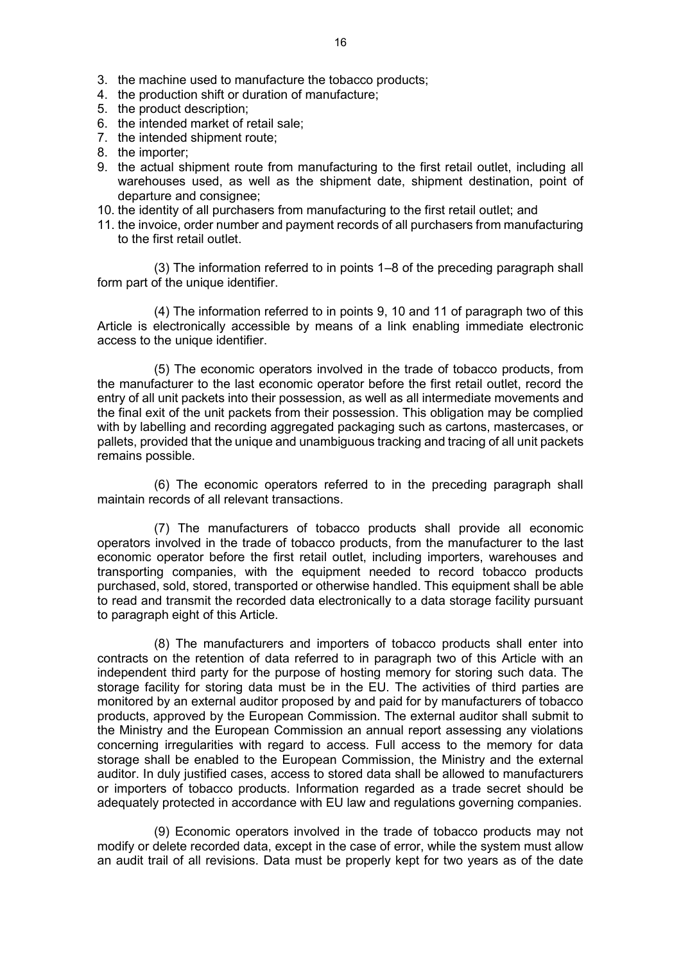- 3. the machine used to manufacture the tobacco products;
- 4. the production shift or duration of manufacture;
- 5. the product description;
- 6. the intended market of retail sale;
- 7. the intended shipment route;
- 8. the importer;
- 9. the actual shipment route from manufacturing to the first retail outlet, including all warehouses used, as well as the shipment date, shipment destination, point of departure and consignee;
- 10. the identity of all purchasers from manufacturing to the first retail outlet; and
- 11. the invoice, order number and payment records of all purchasers from manufacturing to the first retail outlet.

(3) The information referred to in points 1–8 of the preceding paragraph shall form part of the unique identifier.

(4) The information referred to in points 9, 10 and 11 of paragraph two of this Article is electronically accessible by means of a link enabling immediate electronic access to the unique identifier.

(5) The economic operators involved in the trade of tobacco products, from the manufacturer to the last economic operator before the first retail outlet, record the entry of all unit packets into their possession, as well as all intermediate movements and the final exit of the unit packets from their possession. This obligation may be complied with by labelling and recording aggregated packaging such as cartons, mastercases, or pallets, provided that the unique and unambiguous tracking and tracing of all unit packets remains possible.

(6) The economic operators referred to in the preceding paragraph shall maintain records of all relevant transactions.

(7) The manufacturers of tobacco products shall provide all economic operators involved in the trade of tobacco products, from the manufacturer to the last economic operator before the first retail outlet, including importers, warehouses and transporting companies, with the equipment needed to record tobacco products purchased, sold, stored, transported or otherwise handled. This equipment shall be able to read and transmit the recorded data electronically to a data storage facility pursuant to paragraph eight of this Article.

(8) The manufacturers and importers of tobacco products shall enter into contracts on the retention of data referred to in paragraph two of this Article with an independent third party for the purpose of hosting memory for storing such data. The storage facility for storing data must be in the EU. The activities of third parties are monitored by an external auditor proposed by and paid for by manufacturers of tobacco products, approved by the European Commission. The external auditor shall submit to the Ministry and the European Commission an annual report assessing any violations concerning irregularities with regard to access. Full access to the memory for data storage shall be enabled to the European Commission, the Ministry and the external auditor. In duly justified cases, access to stored data shall be allowed to manufacturers or importers of tobacco products. Information regarded as a trade secret should be adequately protected in accordance with EU law and regulations governing companies.

(9) Economic operators involved in the trade of tobacco products may not modify or delete recorded data, except in the case of error, while the system must allow an audit trail of all revisions. Data must be properly kept for two years as of the date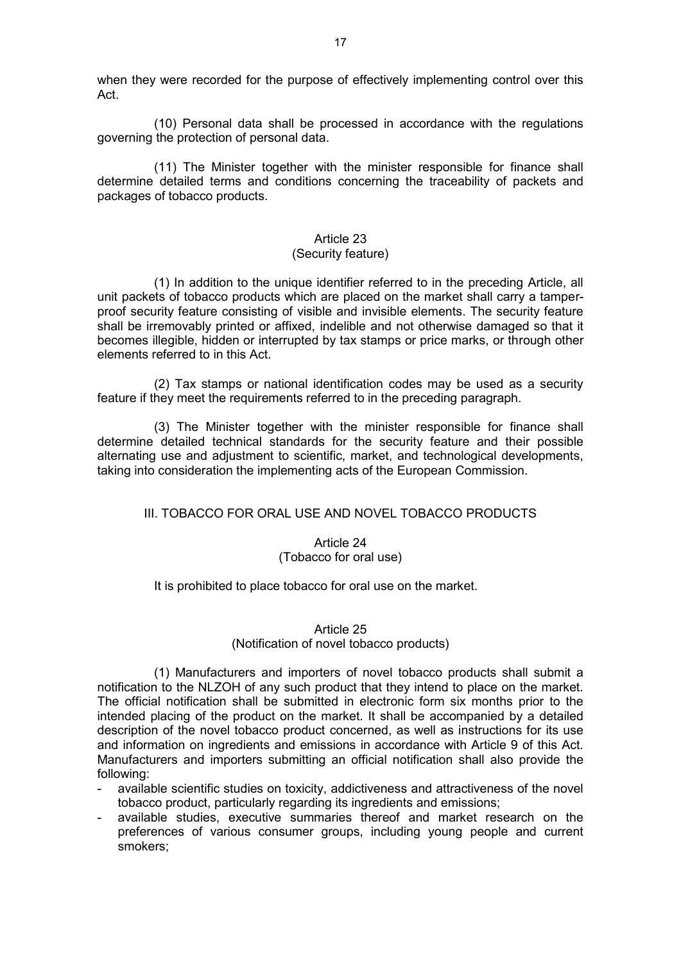when they were recorded for the purpose of effectively implementing control over this Act.

(10) Personal data shall be processed in accordance with the regulations governing the protection of personal data.

(11) The Minister together with the minister responsible for finance shall determine detailed terms and conditions concerning the traceability of packets and packages of tobacco products.

#### Article 23 (Security feature)

(1) In addition to the unique identifier referred to in the preceding Article, all unit packets of tobacco products which are placed on the market shall carry a tamperproof security feature consisting of visible and invisible elements. The security feature shall be irremovably printed or affixed, indelible and not otherwise damaged so that it becomes illegible, hidden or interrupted by tax stamps or price marks, or through other elements referred to in this Act.

(2) Tax stamps or national identification codes may be used as a security feature if they meet the requirements referred to in the preceding paragraph.

(3) The Minister together with the minister responsible for finance shall determine detailed technical standards for the security feature and their possible alternating use and adjustment to scientific, market, and technological developments, taking into consideration the implementing acts of the European Commission.

## III. TOBACCO FOR ORAL USE AND NOVEL TOBACCO PRODUCTS

### Article 24 (Tobacco for oral use)

### It is prohibited to place tobacco for oral use on the market.

## Article 25 (Notification of novel tobacco products)

(1) Manufacturers and importers of novel tobacco products shall submit a notification to the NLZOH of any such product that they intend to place on the market. The official notification shall be submitted in electronic form six months prior to the intended placing of the product on the market. It shall be accompanied by a detailed description of the novel tobacco product concerned, as well as instructions for its use and information on ingredients and emissions in accordance with Article 9 of this Act. Manufacturers and importers submitting an official notification shall also provide the following:

- available scientific studies on toxicity, addictiveness and attractiveness of the novel tobacco product, particularly regarding its ingredients and emissions;
- available studies, executive summaries thereof and market research on the preferences of various consumer groups, including young people and current smokers;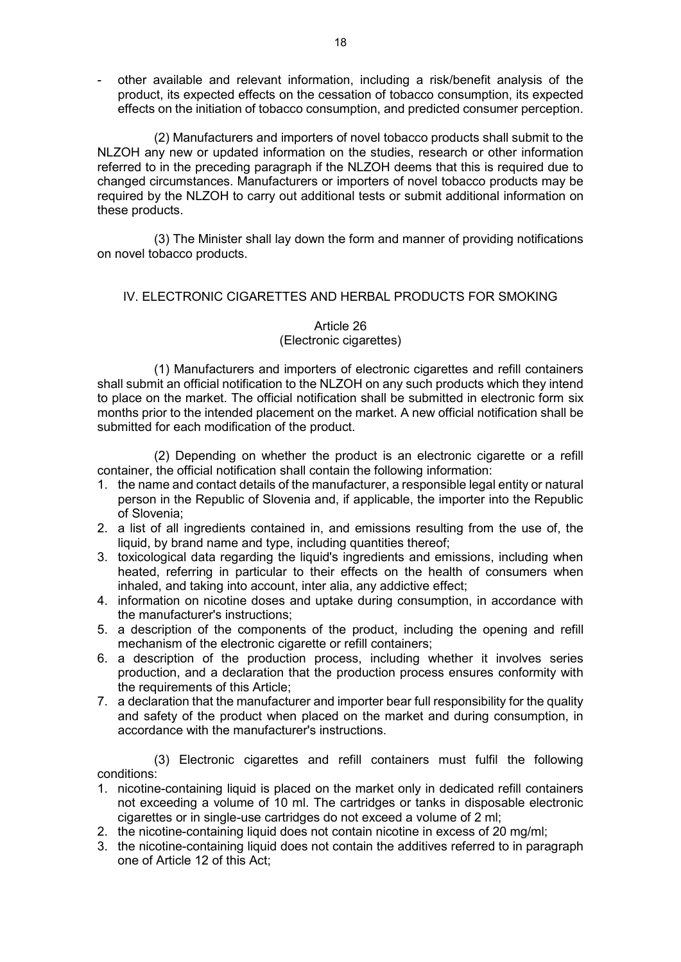- other available and relevant information, including a risk/benefit analysis of the product, its expected effects on the cessation of tobacco consumption, its expected effects on the initiation of tobacco consumption, and predicted consumer perception.

(2) Manufacturers and importers of novel tobacco products shall submit to the NLZOH any new or updated information on the studies, research or other information referred to in the preceding paragraph if the NLZOH deems that this is required due to changed circumstances. Manufacturers or importers of novel tobacco products may be required by the NLZOH to carry out additional tests or submit additional information on these products.

(3) The Minister shall lay down the form and manner of providing notifications on novel tobacco products.

## IV. ELECTRONIC CIGARETTES AND HERBAL PRODUCTS FOR SMOKING

## Article 26

## (Electronic cigarettes)

(1) Manufacturers and importers of electronic cigarettes and refill containers shall submit an official notification to the NLZOH on any such products which they intend to place on the market. The official notification shall be submitted in electronic form six months prior to the intended placement on the market. A new official notification shall be submitted for each modification of the product.

(2) Depending on whether the product is an electronic cigarette or a refill container, the official notification shall contain the following information:

- 1. the name and contact details of the manufacturer, a responsible legal entity or natural person in the Republic of Slovenia and, if applicable, the importer into the Republic of Slovenia;
- 2. a list of all ingredients contained in, and emissions resulting from the use of, the liquid, by brand name and type, including quantities thereof;
- 3. toxicological data regarding the liquid's ingredients and emissions, including when heated, referring in particular to their effects on the health of consumers when inhaled, and taking into account, inter alia, any addictive effect;
- 4. information on nicotine doses and uptake during consumption, in accordance with the manufacturer's instructions;
- 5. a description of the components of the product, including the opening and refill mechanism of the electronic cigarette or refill containers;
- 6. a description of the production process, including whether it involves series production, and a declaration that the production process ensures conformity with the requirements of this Article;
- 7. a declaration that the manufacturer and importer bear full responsibility for the quality and safety of the product when placed on the market and during consumption, in accordance with the manufacturer's instructions.

(3) Electronic cigarettes and refill containers must fulfil the following conditions:

- 1. nicotine-containing liquid is placed on the market only in dedicated refill containers not exceeding a volume of 10 ml. The cartridges or tanks in disposable electronic cigarettes or in single-use cartridges do not exceed a volume of 2 ml;
- 2. the nicotine-containing liquid does not contain nicotine in excess of 20 mg/ml;
- 3. the nicotine-containing liquid does not contain the additives referred to in paragraph one of Article 12 of this Act;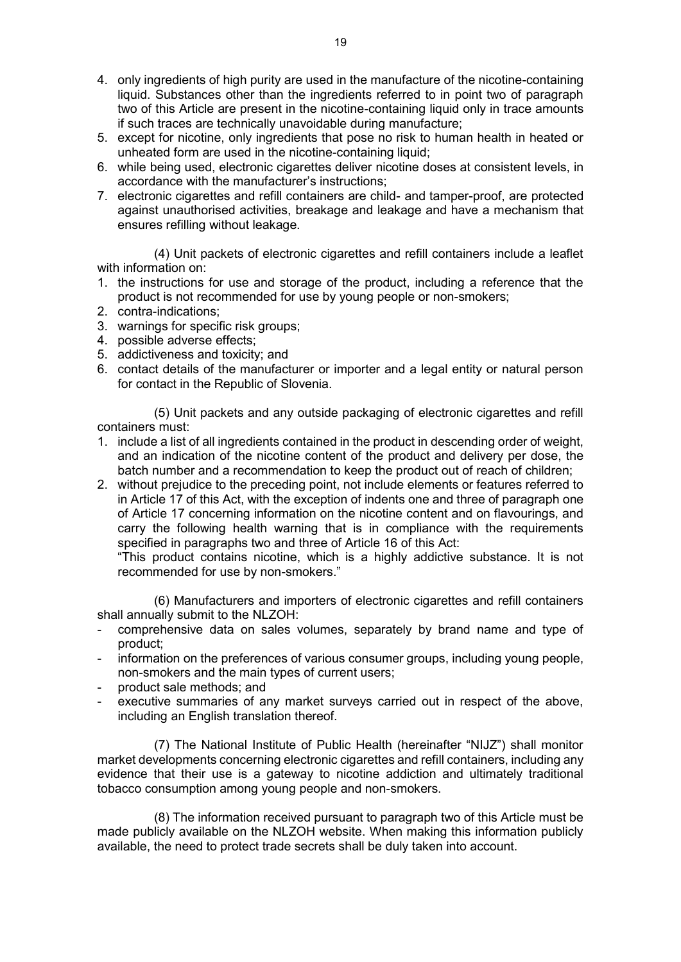- 4. only ingredients of high purity are used in the manufacture of the nicotine-containing liquid. Substances other than the ingredients referred to in point two of paragraph two of this Article are present in the nicotine-containing liquid only in trace amounts if such traces are technically unavoidable during manufacture;
- 5. except for nicotine, only ingredients that pose no risk to human health in heated or unheated form are used in the nicotine-containing liquid;
- 6. while being used, electronic cigarettes deliver nicotine doses at consistent levels, in accordance with the manufacturer's instructions;
- 7. electronic cigarettes and refill containers are child- and tamper-proof, are protected against unauthorised activities, breakage and leakage and have a mechanism that ensures refilling without leakage.

(4) Unit packets of electronic cigarettes and refill containers include a leaflet with information on:

- 1. the instructions for use and storage of the product, including a reference that the product is not recommended for use by young people or non-smokers;
- 2. contra-indications;
- 3. warnings for specific risk groups;
- 4. possible adverse effects;
- 5. addictiveness and toxicity; and
- 6. contact details of the manufacturer or importer and a legal entity or natural person for contact in the Republic of Slovenia.

(5) Unit packets and any outside packaging of electronic cigarettes and refill containers must:

- 1. include a list of all ingredients contained in the product in descending order of weight, and an indication of the nicotine content of the product and delivery per dose, the batch number and a recommendation to keep the product out of reach of children;
- 2. without prejudice to the preceding point, not include elements or features referred to in Article 17 of this Act, with the exception of indents one and three of paragraph one of Article 17 concerning information on the nicotine content and on flavourings, and carry the following health warning that is in compliance with the requirements specified in paragraphs two and three of Article 16 of this Act:

"This product contains nicotine, which is a highly addictive substance. It is not recommended for use by non-smokers."

(6) Manufacturers and importers of electronic cigarettes and refill containers shall annually submit to the NLZOH:

- comprehensive data on sales volumes, separately by brand name and type of product;
- information on the preferences of various consumer groups, including young people, non-smokers and the main types of current users;
- product sale methods: and
- executive summaries of any market surveys carried out in respect of the above, including an English translation thereof.

(7) The National Institute of Public Health (hereinafter "NIJZ") shall monitor market developments concerning electronic cigarettes and refill containers, including any evidence that their use is a gateway to nicotine addiction and ultimately traditional tobacco consumption among young people and non-smokers.

(8) The information received pursuant to paragraph two of this Article must be made publicly available on the NLZOH website. When making this information publicly available, the need to protect trade secrets shall be duly taken into account.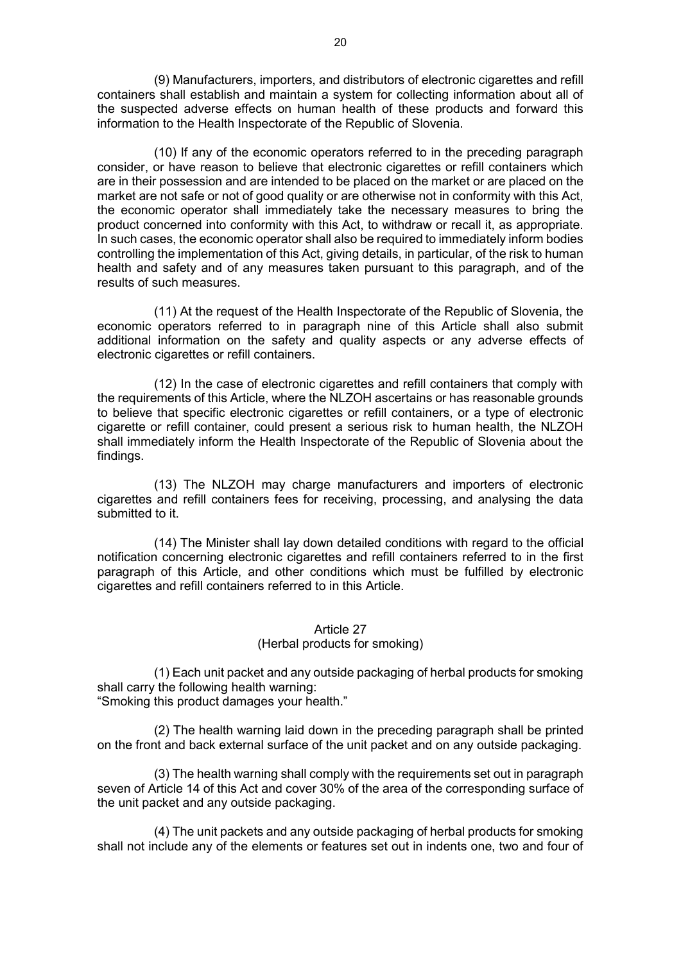(9) Manufacturers, importers, and distributors of electronic cigarettes and refill containers shall establish and maintain a system for collecting information about all of the suspected adverse effects on human health of these products and forward this information to the Health Inspectorate of the Republic of Slovenia.

(10) If any of the economic operators referred to in the preceding paragraph consider, or have reason to believe that electronic cigarettes or refill containers which are in their possession and are intended to be placed on the market or are placed on the market are not safe or not of good quality or are otherwise not in conformity with this Act, the economic operator shall immediately take the necessary measures to bring the product concerned into conformity with this Act, to withdraw or recall it, as appropriate. In such cases, the economic operator shall also be required to immediately inform bodies controlling the implementation of this Act, giving details, in particular, of the risk to human health and safety and of any measures taken pursuant to this paragraph, and of the results of such measures.

(11) At the request of the Health Inspectorate of the Republic of Slovenia, the economic operators referred to in paragraph nine of this Article shall also submit additional information on the safety and quality aspects or any adverse effects of electronic cigarettes or refill containers.

(12) In the case of electronic cigarettes and refill containers that comply with the requirements of this Article, where the NLZOH ascertains or has reasonable grounds to believe that specific electronic cigarettes or refill containers, or a type of electronic cigarette or refill container, could present a serious risk to human health, the NLZOH shall immediately inform the Health Inspectorate of the Republic of Slovenia about the findings.

(13) The NLZOH may charge manufacturers and importers of electronic cigarettes and refill containers fees for receiving, processing, and analysing the data submitted to it.

(14) The Minister shall lay down detailed conditions with regard to the official notification concerning electronic cigarettes and refill containers referred to in the first paragraph of this Article, and other conditions which must be fulfilled by electronic cigarettes and refill containers referred to in this Article.

#### Article 27 (Herbal products for smoking)

(1) Each unit packet and any outside packaging of herbal products for smoking shall carry the following health warning:

"Smoking this product damages your health."

(2) The health warning laid down in the preceding paragraph shall be printed on the front and back external surface of the unit packet and on any outside packaging.

(3) The health warning shall comply with the requirements set out in paragraph seven of Article 14 of this Act and cover 30% of the area of the corresponding surface of the unit packet and any outside packaging.

(4) The unit packets and any outside packaging of herbal products for smoking shall not include any of the elements or features set out in indents one, two and four of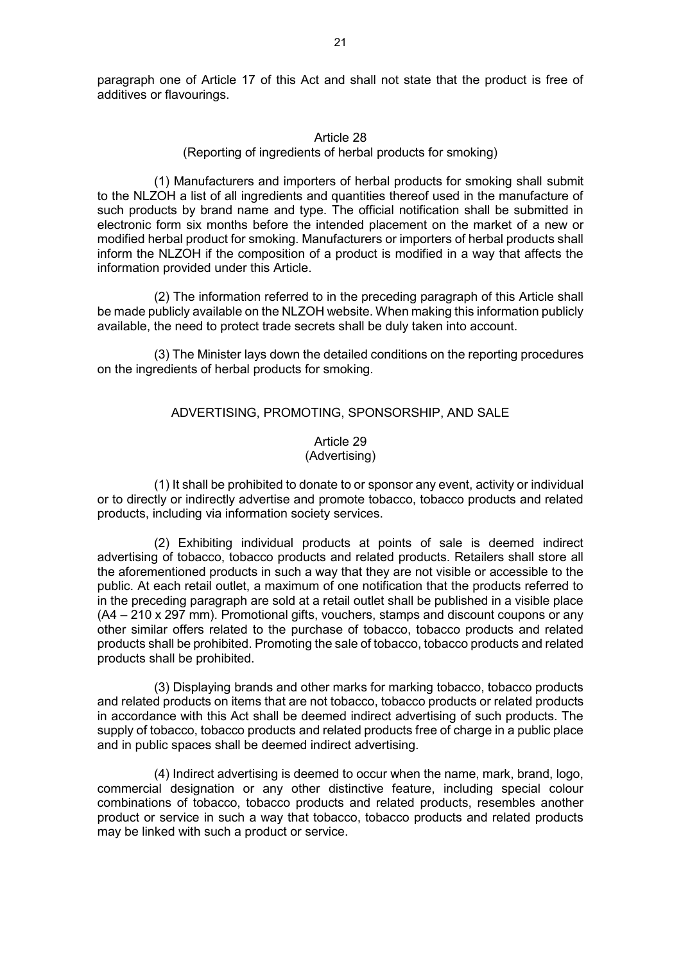paragraph one of Article 17 of this Act and shall not state that the product is free of additives or flavourings.

#### Article 28

(Reporting of ingredients of herbal products for smoking)

(1) Manufacturers and importers of herbal products for smoking shall submit to the NLZOH a list of all ingredients and quantities thereof used in the manufacture of such products by brand name and type. The official notification shall be submitted in electronic form six months before the intended placement on the market of a new or modified herbal product for smoking. Manufacturers or importers of herbal products shall inform the NLZOH if the composition of a product is modified in a way that affects the information provided under this Article.

(2) The information referred to in the preceding paragraph of this Article shall be made publicly available on the NLZOH website. When making this information publicly available, the need to protect trade secrets shall be duly taken into account.

(3) The Minister lays down the detailed conditions on the reporting procedures on the ingredients of herbal products for smoking.

### ADVERTISING, PROMOTING, SPONSORSHIP, AND SALE

Article 29 (Advertising)

(1) It shall be prohibited to donate to or sponsor any event, activity or individual or to directly or indirectly advertise and promote tobacco, tobacco products and related products, including via information society services.

(2) Exhibiting individual products at points of sale is deemed indirect advertising of tobacco, tobacco products and related products. Retailers shall store all the aforementioned products in such a way that they are not visible or accessible to the public. At each retail outlet, a maximum of one notification that the products referred to in the preceding paragraph are sold at a retail outlet shall be published in a visible place (A4 – 210 x 297 mm). Promotional gifts, vouchers, stamps and discount coupons or any other similar offers related to the purchase of tobacco, tobacco products and related products shall be prohibited. Promoting the sale of tobacco, tobacco products and related products shall be prohibited.

(3) Displaying brands and other marks for marking tobacco, tobacco products and related products on items that are not tobacco, tobacco products or related products in accordance with this Act shall be deemed indirect advertising of such products. The supply of tobacco, tobacco products and related products free of charge in a public place and in public spaces shall be deemed indirect advertising.

(4) Indirect advertising is deemed to occur when the name, mark, brand, logo, commercial designation or any other distinctive feature, including special colour combinations of tobacco, tobacco products and related products, resembles another product or service in such a way that tobacco, tobacco products and related products may be linked with such a product or service.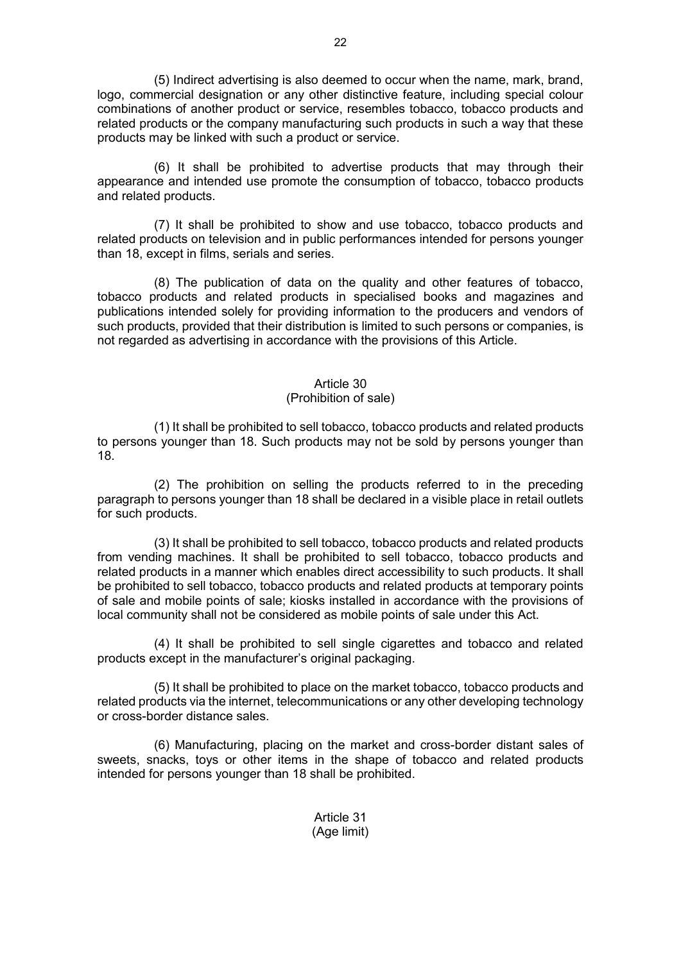(5) Indirect advertising is also deemed to occur when the name, mark, brand, logo, commercial designation or any other distinctive feature, including special colour combinations of another product or service, resembles tobacco, tobacco products and related products or the company manufacturing such products in such a way that these products may be linked with such a product or service.

(6) It shall be prohibited to advertise products that may through their appearance and intended use promote the consumption of tobacco, tobacco products and related products.

(7) It shall be prohibited to show and use tobacco, tobacco products and related products on television and in public performances intended for persons younger than 18, except in films, serials and series.

(8) The publication of data on the quality and other features of tobacco, tobacco products and related products in specialised books and magazines and publications intended solely for providing information to the producers and vendors of such products, provided that their distribution is limited to such persons or companies, is not regarded as advertising in accordance with the provisions of this Article.

### Article 30

## (Prohibition of sale)

(1) It shall be prohibited to sell tobacco, tobacco products and related products to persons younger than 18. Such products may not be sold by persons younger than 18.

(2) The prohibition on selling the products referred to in the preceding paragraph to persons younger than 18 shall be declared in a visible place in retail outlets for such products.

(3) It shall be prohibited to sell tobacco, tobacco products and related products from vending machines. It shall be prohibited to sell tobacco, tobacco products and related products in a manner which enables direct accessibility to such products. It shall be prohibited to sell tobacco, tobacco products and related products at temporary points of sale and mobile points of sale; kiosks installed in accordance with the provisions of local community shall not be considered as mobile points of sale under this Act.

(4) It shall be prohibited to sell single cigarettes and tobacco and related products except in the manufacturer's original packaging.

(5) It shall be prohibited to place on the market tobacco, tobacco products and related products via the internet, telecommunications or any other developing technology or cross-border distance sales.

(6) Manufacturing, placing on the market and cross-border distant sales of sweets, snacks, toys or other items in the shape of tobacco and related products intended for persons younger than 18 shall be prohibited.

> Article 31 (Age limit)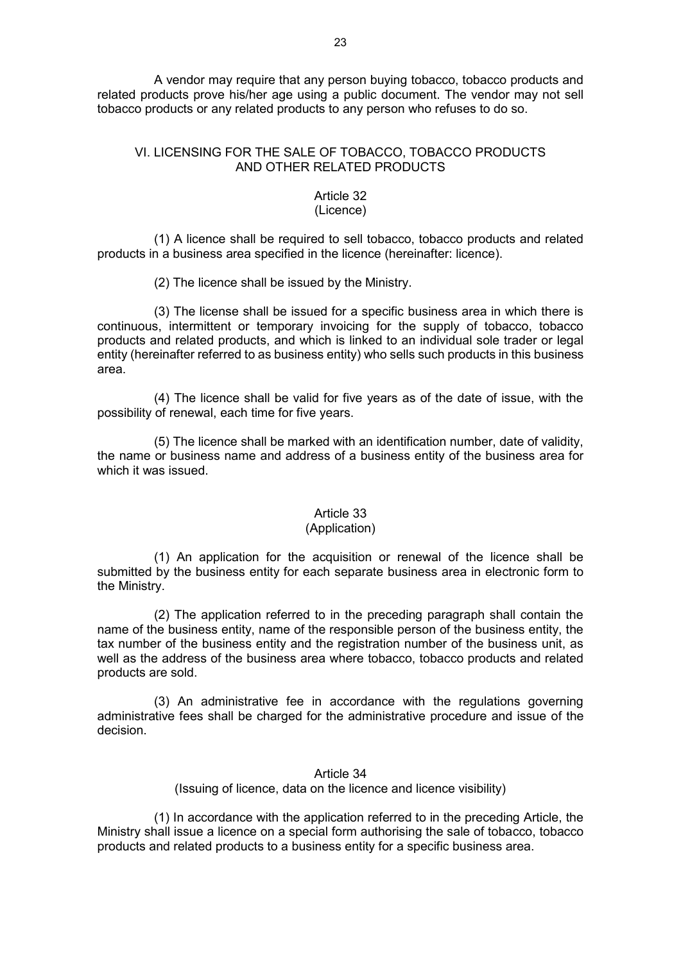A vendor may require that any person buying tobacco, tobacco products and related products prove his/her age using a public document. The vendor may not sell tobacco products or any related products to any person who refuses to do so.

## VI. LICENSING FOR THE SALE OF TOBACCO, TOBACCO PRODUCTS AND OTHER RELATED PRODUCTS

#### Article 32 (Licence)

(1) A licence shall be required to sell tobacco, tobacco products and related products in a business area specified in the licence (hereinafter: licence).

(2) The licence shall be issued by the Ministry.

(3) The license shall be issued for a specific business area in which there is continuous, intermittent or temporary invoicing for the supply of tobacco, tobacco products and related products, and which is linked to an individual sole trader or legal entity (hereinafter referred to as business entity) who sells such products in this business area.

(4) The licence shall be valid for five years as of the date of issue, with the possibility of renewal, each time for five years.

(5) The licence shall be marked with an identification number, date of validity, the name or business name and address of a business entity of the business area for which it was issued.

### Article 33

### (Application)

(1) An application for the acquisition or renewal of the licence shall be submitted by the business entity for each separate business area in electronic form to the Ministry.

(2) The application referred to in the preceding paragraph shall contain the name of the business entity, name of the responsible person of the business entity, the tax number of the business entity and the registration number of the business unit, as well as the address of the business area where tobacco, tobacco products and related products are sold.

(3) An administrative fee in accordance with the regulations governing administrative fees shall be charged for the administrative procedure and issue of the decision.

> Article 34 (Issuing of licence, data on the licence and licence visibility)

(1) In accordance with the application referred to in the preceding Article, the Ministry shall issue a licence on a special form authorising the sale of tobacco, tobacco products and related products to a business entity for a specific business area.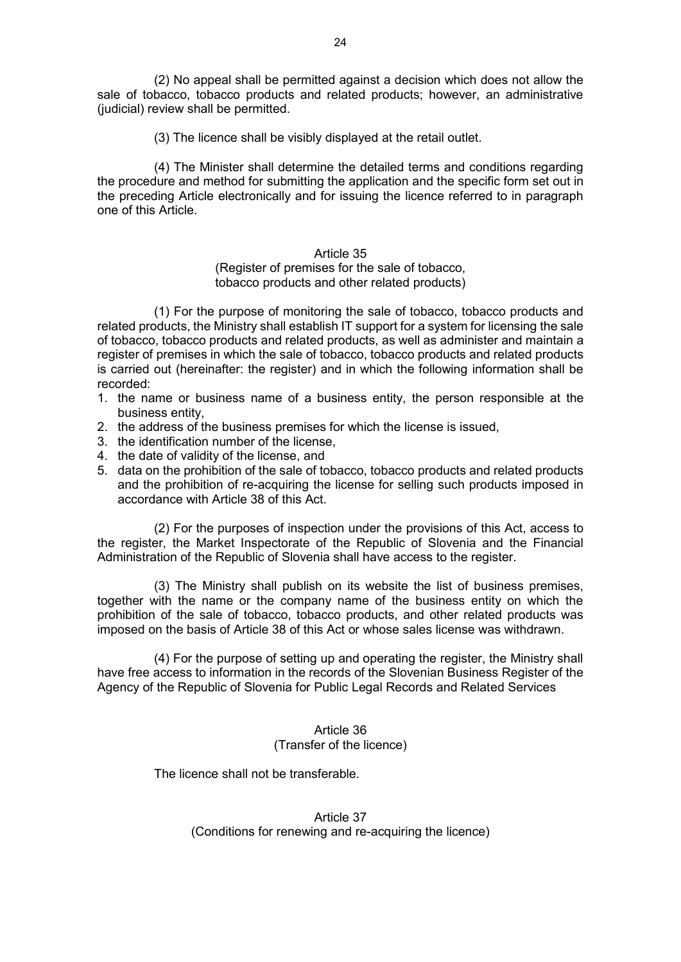(2) No appeal shall be permitted against a decision which does not allow the sale of tobacco, tobacco products and related products; however, an administrative (judicial) review shall be permitted.

(3) The licence shall be visibly displayed at the retail outlet.

(4) The Minister shall determine the detailed terms and conditions regarding the procedure and method for submitting the application and the specific form set out in the preceding Article electronically and for issuing the licence referred to in paragraph one of this Article.

## Article 35

### (Register of premises for the sale of tobacco, tobacco products and other related products)

(1) For the purpose of monitoring the sale of tobacco, tobacco products and related products, the Ministry shall establish IT support for a system for licensing the sale of tobacco, tobacco products and related products, as well as administer and maintain a register of premises in which the sale of tobacco, tobacco products and related products is carried out (hereinafter: the register) and in which the following information shall be recorded:

- 1. the name or business name of a business entity, the person responsible at the business entity,
- 2. the address of the business premises for which the license is issued,
- 3. the identification number of the license,
- 4. the date of validity of the license, and
- 5. data on the prohibition of the sale of tobacco, tobacco products and related products and the prohibition of re-acquiring the license for selling such products imposed in accordance with Article 38 of this Act.

(2) For the purposes of inspection under the provisions of this Act, access to the register, the Market Inspectorate of the Republic of Slovenia and the Financial Administration of the Republic of Slovenia shall have access to the register.

(3) The Ministry shall publish on its website the list of business premises, together with the name or the company name of the business entity on which the prohibition of the sale of tobacco, tobacco products, and other related products was imposed on the basis of Article 38 of this Act or whose sales license was withdrawn.

(4) For the purpose of setting up and operating the register, the Ministry shall have free access to information in the records of the Slovenian Business Register of the Agency of the Republic of Slovenia for Public Legal Records and Related Services

## Article 36 (Transfer of the licence)

The licence shall not be transferable.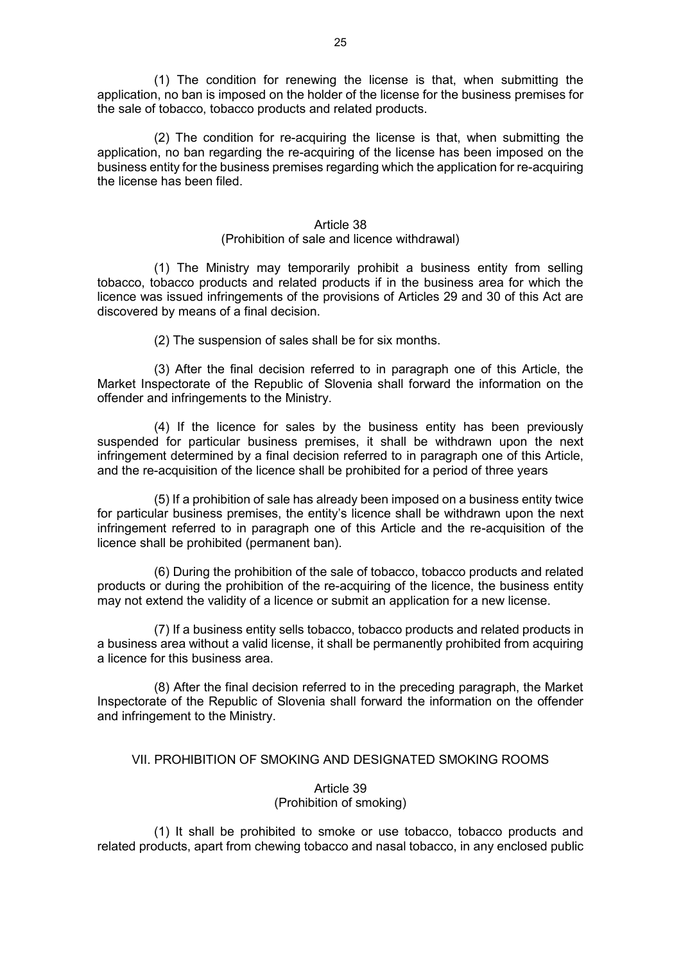(1) The condition for renewing the license is that, when submitting the application, no ban is imposed on the holder of the license for the business premises for the sale of tobacco, tobacco products and related products.

(2) The condition for re-acquiring the license is that, when submitting the application, no ban regarding the re-acquiring of the license has been imposed on the business entity for the business premises regarding which the application for re-acquiring the license has been filed.

#### Article 38

### (Prohibition of sale and licence withdrawal)

(1) The Ministry may temporarily prohibit a business entity from selling tobacco, tobacco products and related products if in the business area for which the licence was issued infringements of the provisions of Articles 29 and 30 of this Act are discovered by means of a final decision.

(2) The suspension of sales shall be for six months.

(3) After the final decision referred to in paragraph one of this Article, the Market Inspectorate of the Republic of Slovenia shall forward the information on the offender and infringements to the Ministry.

(4) If the licence for sales by the business entity has been previously suspended for particular business premises, it shall be withdrawn upon the next infringement determined by a final decision referred to in paragraph one of this Article, and the re-acquisition of the licence shall be prohibited for a period of three years

(5) If a prohibition of sale has already been imposed on a business entity twice for particular business premises, the entity's licence shall be withdrawn upon the next infringement referred to in paragraph one of this Article and the re-acquisition of the licence shall be prohibited (permanent ban).

(6) During the prohibition of the sale of tobacco, tobacco products and related products or during the prohibition of the re-acquiring of the licence, the business entity may not extend the validity of a licence or submit an application for a new license.

(7) If a business entity sells tobacco, tobacco products and related products in a business area without a valid license, it shall be permanently prohibited from acquiring a licence for this business area.

(8) After the final decision referred to in the preceding paragraph, the Market Inspectorate of the Republic of Slovenia shall forward the information on the offender and infringement to the Ministry.

### VII. PROHIBITION OF SMOKING AND DESIGNATED SMOKING ROOMS

### Article 39 (Prohibition of smoking)

(1) It shall be prohibited to smoke or use tobacco, tobacco products and related products, apart from chewing tobacco and nasal tobacco, in any enclosed public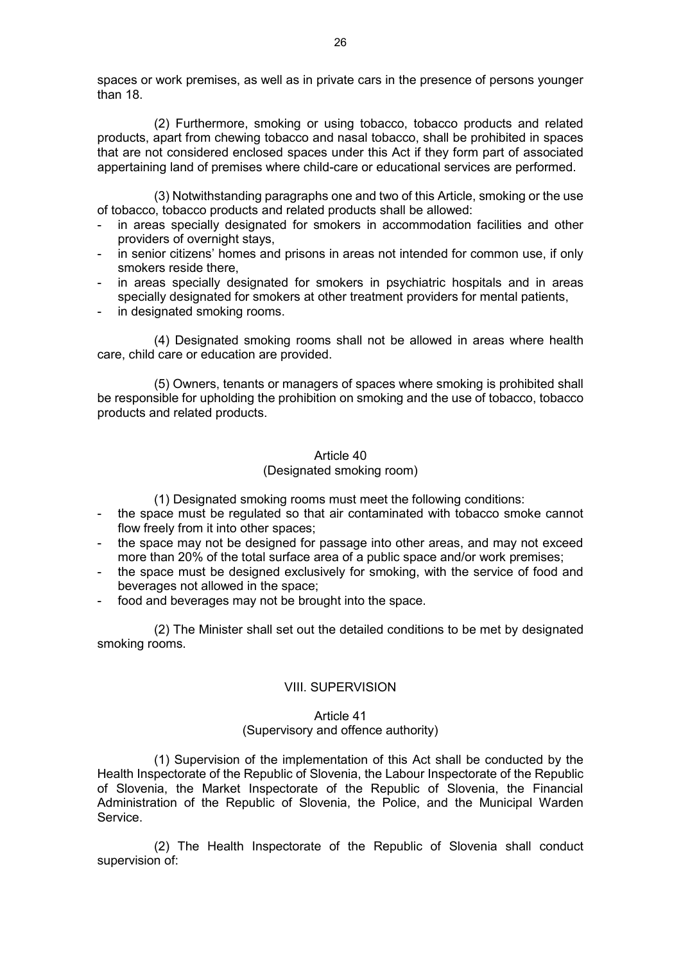spaces or work premises, as well as in private cars in the presence of persons younger than 18.

(2) Furthermore, smoking or using tobacco, tobacco products and related products, apart from chewing tobacco and nasal tobacco, shall be prohibited in spaces that are not considered enclosed spaces under this Act if they form part of associated appertaining land of premises where child-care or educational services are performed.

(3) Notwithstanding paragraphs one and two of this Article, smoking or the use of tobacco, tobacco products and related products shall be allowed:

- in areas specially designated for smokers in accommodation facilities and other providers of overnight stays,
- in senior citizens' homes and prisons in areas not intended for common use, if only smokers reside there,
- in areas specially designated for smokers in psychiatric hospitals and in areas specially designated for smokers at other treatment providers for mental patients,
- in designated smoking rooms.

(4) Designated smoking rooms shall not be allowed in areas where health care, child care or education are provided.

(5) Owners, tenants or managers of spaces where smoking is prohibited shall be responsible for upholding the prohibition on smoking and the use of tobacco, tobacco products and related products.

### Article 40

## (Designated smoking room)

(1) Designated smoking rooms must meet the following conditions:

- the space must be regulated so that air contaminated with tobacco smoke cannot flow freely from it into other spaces;
- the space may not be designed for passage into other areas, and may not exceed more than 20% of the total surface area of a public space and/or work premises;
- the space must be designed exclusively for smoking, with the service of food and beverages not allowed in the space;
- food and beverages may not be brought into the space.

(2) The Minister shall set out the detailed conditions to be met by designated smoking rooms.

### VIII. SUPERVISION

### Article 41

## (Supervisory and offence authority)

(1) Supervision of the implementation of this Act shall be conducted by the Health Inspectorate of the Republic of Slovenia, the Labour Inspectorate of the Republic of Slovenia, the Market Inspectorate of the Republic of Slovenia, the Financial Administration of the Republic of Slovenia, the Police, and the Municipal Warden Service.

(2) The Health Inspectorate of the Republic of Slovenia shall conduct supervision of: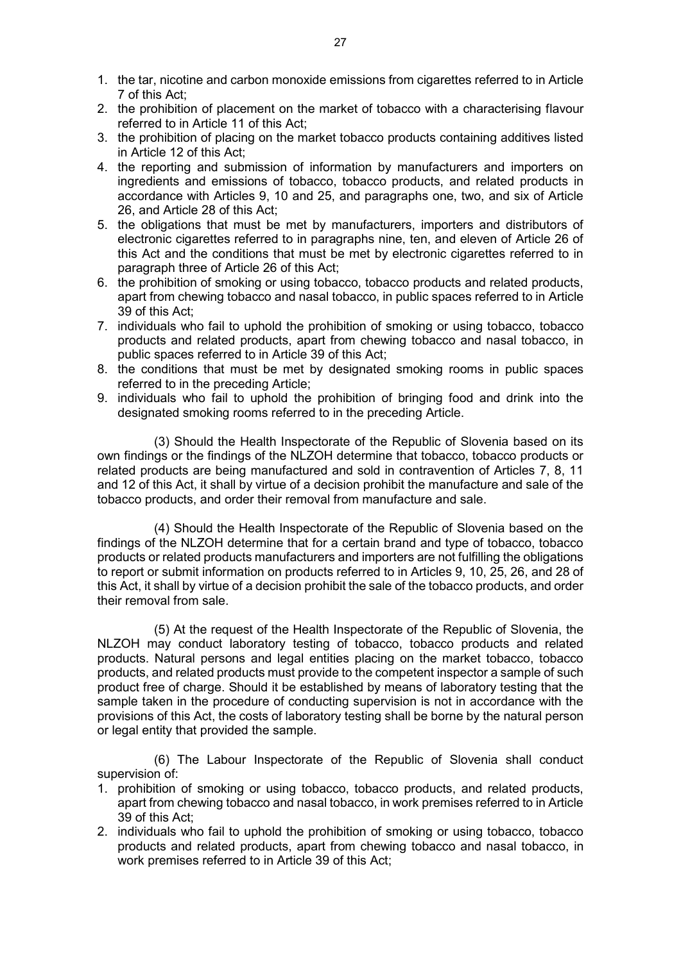- 1. the tar, nicotine and carbon monoxide emissions from cigarettes referred to in Article 7 of this Act;
- 2. the prohibition of placement on the market of tobacco with a characterising flavour referred to in Article 11 of this Act;
- 3. the prohibition of placing on the market tobacco products containing additives listed in Article 12 of this Act;
- 4. the reporting and submission of information by manufacturers and importers on ingredients and emissions of tobacco, tobacco products, and related products in accordance with Articles 9, 10 and 25, and paragraphs one, two, and six of Article 26, and Article 28 of this Act;
- 5. the obligations that must be met by manufacturers, importers and distributors of electronic cigarettes referred to in paragraphs nine, ten, and eleven of Article 26 of this Act and the conditions that must be met by electronic cigarettes referred to in paragraph three of Article 26 of this Act;
- 6. the prohibition of smoking or using tobacco, tobacco products and related products, apart from chewing tobacco and nasal tobacco, in public spaces referred to in Article 39 of this Act;
- 7. individuals who fail to uphold the prohibition of smoking or using tobacco, tobacco products and related products, apart from chewing tobacco and nasal tobacco, in public spaces referred to in Article 39 of this Act;
- 8. the conditions that must be met by designated smoking rooms in public spaces referred to in the preceding Article;
- 9. individuals who fail to uphold the prohibition of bringing food and drink into the designated smoking rooms referred to in the preceding Article.

(3) Should the Health Inspectorate of the Republic of Slovenia based on its own findings or the findings of the NLZOH determine that tobacco, tobacco products or related products are being manufactured and sold in contravention of Articles 7, 8, 11 and 12 of this Act, it shall by virtue of a decision prohibit the manufacture and sale of the tobacco products, and order their removal from manufacture and sale.

(4) Should the Health Inspectorate of the Republic of Slovenia based on the findings of the NLZOH determine that for a certain brand and type of tobacco, tobacco products or related products manufacturers and importers are not fulfilling the obligations to report or submit information on products referred to in Articles 9, 10, 25, 26, and 28 of this Act, it shall by virtue of a decision prohibit the sale of the tobacco products, and order their removal from sale.

(5) At the request of the Health Inspectorate of the Republic of Slovenia, the NLZOH may conduct laboratory testing of tobacco, tobacco products and related products. Natural persons and legal entities placing on the market tobacco, tobacco products, and related products must provide to the competent inspector a sample of such product free of charge. Should it be established by means of laboratory testing that the sample taken in the procedure of conducting supervision is not in accordance with the provisions of this Act, the costs of laboratory testing shall be borne by the natural person or legal entity that provided the sample.

(6) The Labour Inspectorate of the Republic of Slovenia shall conduct supervision of:

- 1. prohibition of smoking or using tobacco, tobacco products, and related products, apart from chewing tobacco and nasal tobacco, in work premises referred to in Article 39 of this Act;
- 2. individuals who fail to uphold the prohibition of smoking or using tobacco, tobacco products and related products, apart from chewing tobacco and nasal tobacco, in work premises referred to in Article 39 of this Act;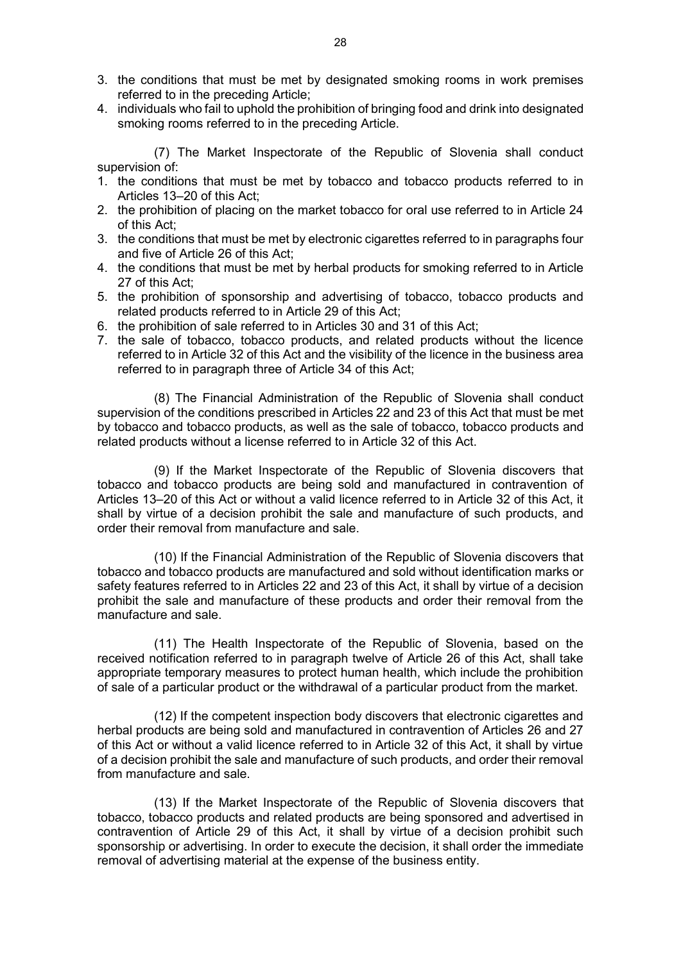- 3. the conditions that must be met by designated smoking rooms in work premises referred to in the preceding Article;
- 4. individuals who fail to uphold the prohibition of bringing food and drink into designated smoking rooms referred to in the preceding Article.

(7) The Market Inspectorate of the Republic of Slovenia shall conduct supervision of:

- 1. the conditions that must be met by tobacco and tobacco products referred to in Articles 13–20 of this Act;
- 2. the prohibition of placing on the market tobacco for oral use referred to in Article 24 of this Act;
- 3. the conditions that must be met by electronic cigarettes referred to in paragraphs four and five of Article 26 of this Act;
- 4. the conditions that must be met by herbal products for smoking referred to in Article 27 of this Act;
- 5. the prohibition of sponsorship and advertising of tobacco, tobacco products and related products referred to in Article 29 of this Act;
- 6. the prohibition of sale referred to in Articles 30 and 31 of this Act;
- 7. the sale of tobacco, tobacco products, and related products without the licence referred to in Article 32 of this Act and the visibility of the licence in the business area referred to in paragraph three of Article 34 of this Act;

(8) The Financial Administration of the Republic of Slovenia shall conduct supervision of the conditions prescribed in Articles 22 and 23 of this Act that must be met by tobacco and tobacco products, as well as the sale of tobacco, tobacco products and related products without a license referred to in Article 32 of this Act.

(9) If the Market Inspectorate of the Republic of Slovenia discovers that tobacco and tobacco products are being sold and manufactured in contravention of Articles 13–20 of this Act or without a valid licence referred to in Article 32 of this Act, it shall by virtue of a decision prohibit the sale and manufacture of such products, and order their removal from manufacture and sale.

(10) If the Financial Administration of the Republic of Slovenia discovers that tobacco and tobacco products are manufactured and sold without identification marks or safety features referred to in Articles 22 and 23 of this Act, it shall by virtue of a decision prohibit the sale and manufacture of these products and order their removal from the manufacture and sale.

(11) The Health Inspectorate of the Republic of Slovenia, based on the received notification referred to in paragraph twelve of Article 26 of this Act, shall take appropriate temporary measures to protect human health, which include the prohibition of sale of a particular product or the withdrawal of a particular product from the market.

(12) If the competent inspection body discovers that electronic cigarettes and herbal products are being sold and manufactured in contravention of Articles 26 and 27 of this Act or without a valid licence referred to in Article 32 of this Act, it shall by virtue of a decision prohibit the sale and manufacture of such products, and order their removal from manufacture and sale.

(13) If the Market Inspectorate of the Republic of Slovenia discovers that tobacco, tobacco products and related products are being sponsored and advertised in contravention of Article 29 of this Act, it shall by virtue of a decision prohibit such sponsorship or advertising. In order to execute the decision, it shall order the immediate removal of advertising material at the expense of the business entity.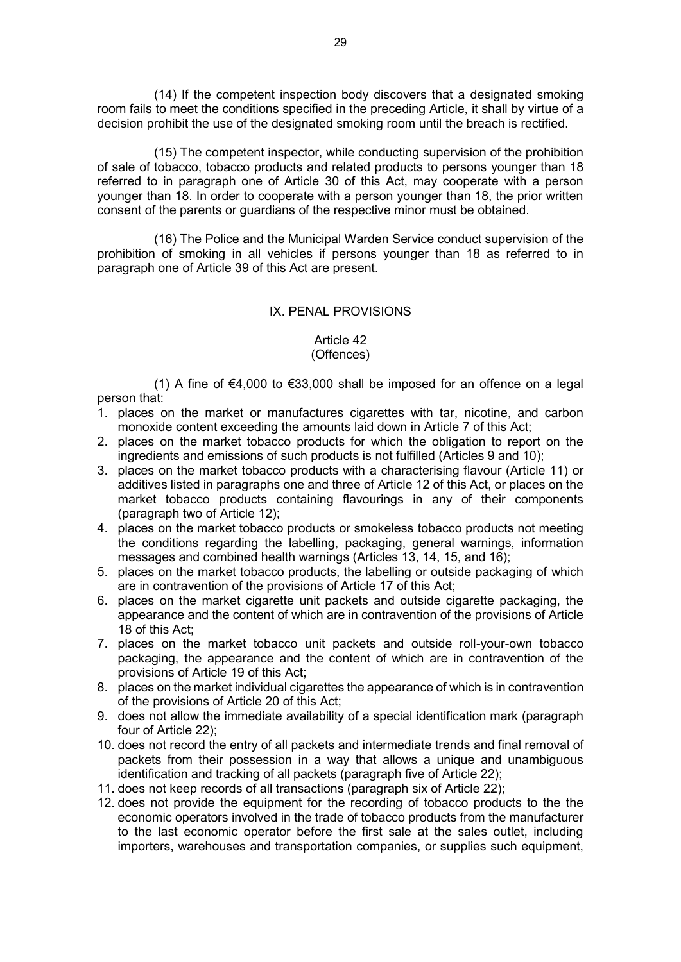(14) If the competent inspection body discovers that a designated smoking room fails to meet the conditions specified in the preceding Article, it shall by virtue of a decision prohibit the use of the designated smoking room until the breach is rectified.

(15) The competent inspector, while conducting supervision of the prohibition of sale of tobacco, tobacco products and related products to persons younger than 18 referred to in paragraph one of Article 30 of this Act, may cooperate with a person younger than 18. In order to cooperate with a person younger than 18, the prior written consent of the parents or guardians of the respective minor must be obtained.

(16) The Police and the Municipal Warden Service conduct supervision of the prohibition of smoking in all vehicles if persons younger than 18 as referred to in paragraph one of Article 39 of this Act are present.

## IX. PENAL PROVISIONS

### Article 42 (Offences)

(1) A fine of €4,000 to €33,000 shall be imposed for an offence on a legal person that:

- 1. places on the market or manufactures cigarettes with tar, nicotine, and carbon monoxide content exceeding the amounts laid down in Article 7 of this Act;
- 2. places on the market tobacco products for which the obligation to report on the ingredients and emissions of such products is not fulfilled (Articles 9 and 10);
- 3. places on the market tobacco products with a characterising flavour (Article 11) or additives listed in paragraphs one and three of Article 12 of this Act, or places on the market tobacco products containing flavourings in any of their components (paragraph two of Article 12);
- 4. places on the market tobacco products or smokeless tobacco products not meeting the conditions regarding the labelling, packaging, general warnings, information messages and combined health warnings (Articles 13, 14, 15, and 16);
- 5. places on the market tobacco products, the labelling or outside packaging of which are in contravention of the provisions of Article 17 of this Act;
- 6. places on the market cigarette unit packets and outside cigarette packaging, the appearance and the content of which are in contravention of the provisions of Article 18 of this Act;
- 7. places on the market tobacco unit packets and outside roll-your-own tobacco packaging, the appearance and the content of which are in contravention of the provisions of Article 19 of this Act;
- 8. places on the market individual cigarettes the appearance of which is in contravention of the provisions of Article 20 of this Act;
- 9. does not allow the immediate availability of a special identification mark (paragraph four of Article 22);
- 10. does not record the entry of all packets and intermediate trends and final removal of packets from their possession in a way that allows a unique and unambiguous identification and tracking of all packets (paragraph five of Article 22);
- 11. does not keep records of all transactions (paragraph six of Article 22);
- 12. does not provide the equipment for the recording of tobacco products to the the economic operators involved in the trade of tobacco products from the manufacturer to the last economic operator before the first sale at the sales outlet, including importers, warehouses and transportation companies, or supplies such equipment,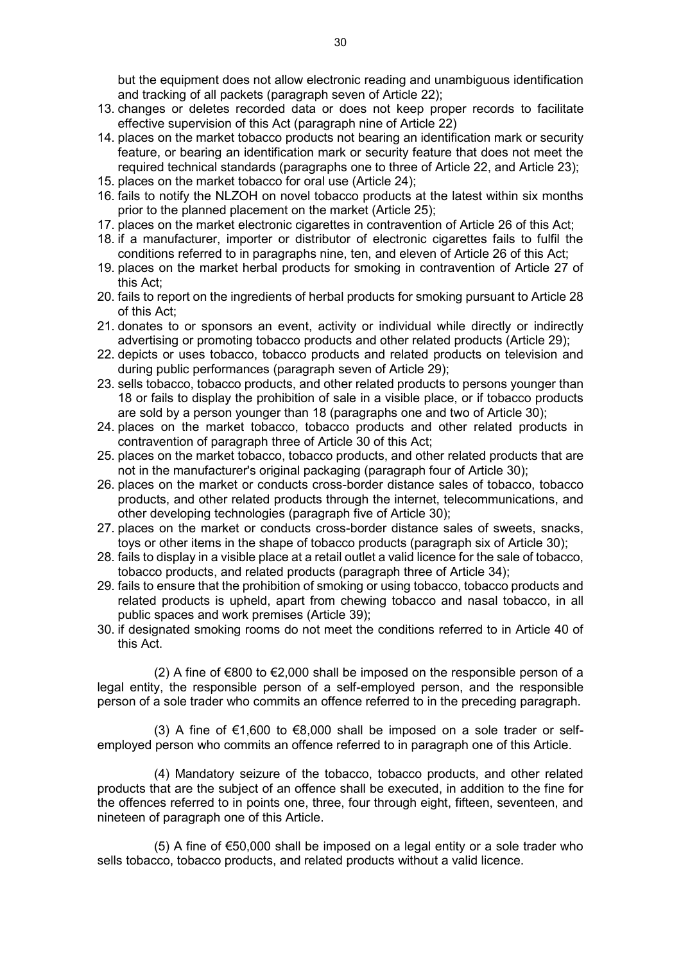but the equipment does not allow electronic reading and unambiguous identification and tracking of all packets (paragraph seven of Article 22);

- 13. changes or deletes recorded data or does not keep proper records to facilitate effective supervision of this Act (paragraph nine of Article 22)
- 14. places on the market tobacco products not bearing an identification mark or security feature, or bearing an identification mark or security feature that does not meet the required technical standards (paragraphs one to three of Article 22, and Article 23);
- 15. places on the market tobacco for oral use (Article 24);
- 16. fails to notify the NLZOH on novel tobacco products at the latest within six months prior to the planned placement on the market (Article 25);
- 17. places on the market electronic cigarettes in contravention of Article 26 of this Act;
- 18. if a manufacturer, importer or distributor of electronic cigarettes fails to fulfil the conditions referred to in paragraphs nine, ten, and eleven of Article 26 of this Act;
- 19. places on the market herbal products for smoking in contravention of Article 27 of this Act;
- 20. fails to report on the ingredients of herbal products for smoking pursuant to Article 28 of this Act;
- 21. donates to or sponsors an event, activity or individual while directly or indirectly advertising or promoting tobacco products and other related products (Article 29);
- 22. depicts or uses tobacco, tobacco products and related products on television and during public performances (paragraph seven of Article 29);
- 23. sells tobacco, tobacco products, and other related products to persons younger than 18 or fails to display the prohibition of sale in a visible place, or if tobacco products are sold by a person younger than 18 (paragraphs one and two of Article 30);
- 24. places on the market tobacco, tobacco products and other related products in contravention of paragraph three of Article 30 of this Act;
- 25. places on the market tobacco, tobacco products, and other related products that are not in the manufacturer's original packaging (paragraph four of Article 30);
- 26. places on the market or conducts cross-border distance sales of tobacco, tobacco products, and other related products through the internet, telecommunications, and other developing technologies (paragraph five of Article 30);
- 27. places on the market or conducts cross-border distance sales of sweets, snacks, toys or other items in the shape of tobacco products (paragraph six of Article 30);
- 28. fails to display in a visible place at a retail outlet a valid licence for the sale of tobacco, tobacco products, and related products (paragraph three of Article 34);
- 29. fails to ensure that the prohibition of smoking or using tobacco, tobacco products and related products is upheld, apart from chewing tobacco and nasal tobacco, in all public spaces and work premises (Article 39);
- 30. if designated smoking rooms do not meet the conditions referred to in Article 40 of this Act.

(2) A fine of €800 to €2,000 shall be imposed on the responsible person of a legal entity, the responsible person of a self-employed person, and the responsible person of a sole trader who commits an offence referred to in the preceding paragraph.

(3) A fine of  $\epsilon$ 1,600 to  $\epsilon$ 8,000 shall be imposed on a sole trader or selfemployed person who commits an offence referred to in paragraph one of this Article.

(4) Mandatory seizure of the tobacco, tobacco products, and other related products that are the subject of an offence shall be executed, in addition to the fine for the offences referred to in points one, three, four through eight, fifteen, seventeen, and nineteen of paragraph one of this Article.

(5) A fine of €50,000 shall be imposed on a legal entity or a sole trader who sells tobacco, tobacco products, and related products without a valid licence.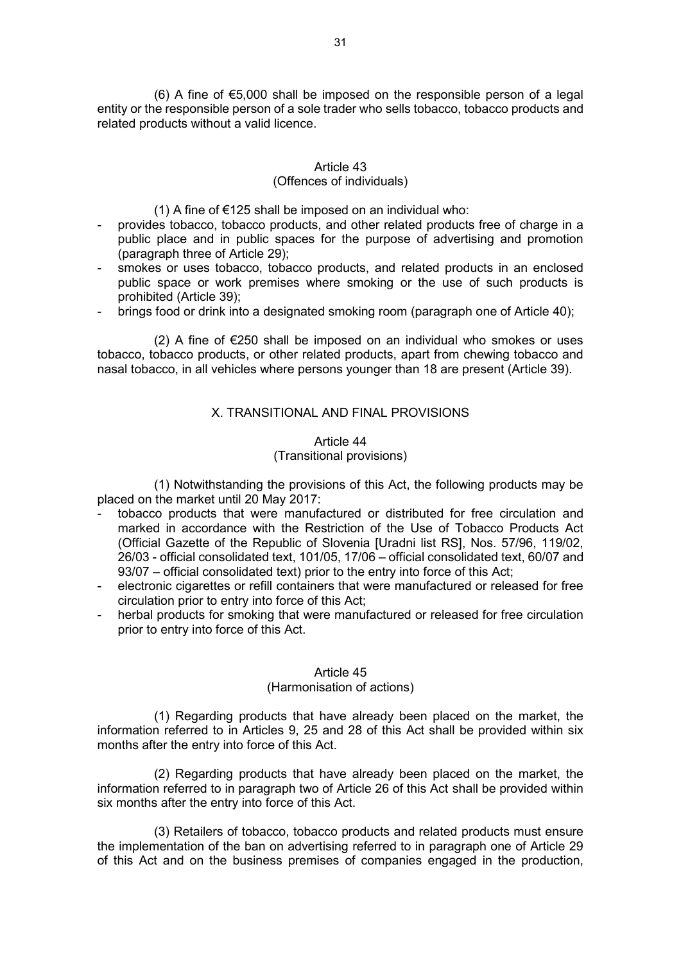(6) A fine of €5,000 shall be imposed on the responsible person of a legal entity or the responsible person of a sole trader who sells tobacco, tobacco products and related products without a valid licence.

## Article 43

## (Offences of individuals)

(1) A fine of  $\epsilon$ 125 shall be imposed on an individual who:

- provides tobacco, tobacco products, and other related products free of charge in a public place and in public spaces for the purpose of advertising and promotion (paragraph three of Article 29);
- smokes or uses tobacco, tobacco products, and related products in an enclosed public space or work premises where smoking or the use of such products is prohibited (Article 39);
- brings food or drink into a designated smoking room (paragraph one of Article 40);

(2) A fine of €250 shall be imposed on an individual who smokes or uses tobacco, tobacco products, or other related products, apart from chewing tobacco and nasal tobacco, in all vehicles where persons younger than 18 are present (Article 39).

## X. TRANSITIONAL AND FINAL PROVISIONS

## Article 44 (Transitional provisions)

(1) Notwithstanding the provisions of this Act, the following products may be placed on the market until 20 May 2017:

- tobacco products that were manufactured or distributed for free circulation and marked in accordance with the Restriction of the Use of Tobacco Products Act (Official Gazette of the Republic of Slovenia [Uradni list RS], Nos. 57/96, 119/02, 26/03 - official consolidated text, 101/05, 17/06 – official consolidated text, 60/07 and 93/07 – official consolidated text) prior to the entry into force of this Act;
- electronic cigarettes or refill containers that were manufactured or released for free circulation prior to entry into force of this Act;
- herbal products for smoking that were manufactured or released for free circulation prior to entry into force of this Act.

### Article 45

### (Harmonisation of actions)

(1) Regarding products that have already been placed on the market, the information referred to in Articles 9, 25 and 28 of this Act shall be provided within six months after the entry into force of this Act.

(2) Regarding products that have already been placed on the market, the information referred to in paragraph two of Article 26 of this Act shall be provided within six months after the entry into force of this Act.

(3) Retailers of tobacco, tobacco products and related products must ensure the implementation of the ban on advertising referred to in paragraph one of Article 29 of this Act and on the business premises of companies engaged in the production,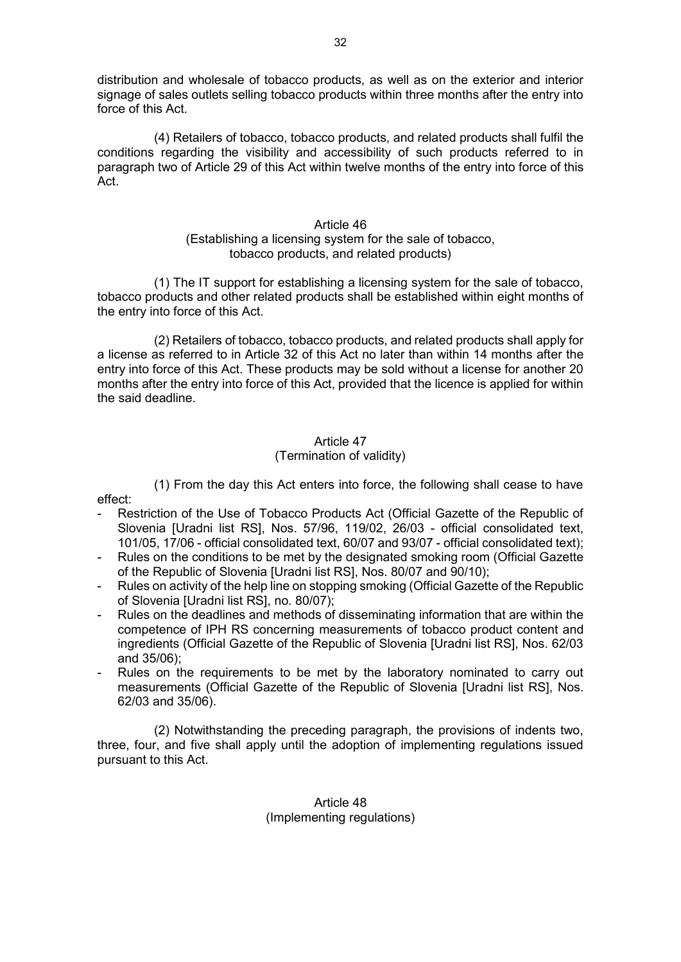distribution and wholesale of tobacco products, as well as on the exterior and interior signage of sales outlets selling tobacco products within three months after the entry into force of this Act.

(4) Retailers of tobacco, tobacco products, and related products shall fulfil the conditions regarding the visibility and accessibility of such products referred to in paragraph two of Article 29 of this Act within twelve months of the entry into force of this Act.

### Article 46

## (Establishing a licensing system for the sale of tobacco, tobacco products, and related products)

(1) The IT support for establishing a licensing system for the sale of tobacco, tobacco products and other related products shall be established within eight months of the entry into force of this Act.

(2) Retailers of tobacco, tobacco products, and related products shall apply for a license as referred to in Article 32 of this Act no later than within 14 months after the entry into force of this Act. These products may be sold without a license for another 20 months after the entry into force of this Act, provided that the licence is applied for within the said deadline.

# Article 47

## (Termination of validity)

(1) From the day this Act enters into force, the following shall cease to have effect:

- Restriction of the Use of Tobacco Products Act (Official Gazette of the Republic of Slovenia [Uradni list RS], Nos. 57/96, 119/02, 26/03 - official consolidated text, 101/05, 17/06 - official consolidated text, 60/07 and 93/07 - official consolidated text);
- Rules on the conditions to be met by the designated smoking room (Official Gazette of the Republic of Slovenia [Uradni list RS], Nos. 80/07 and 90/10);
- Rules on activity of the help line on stopping smoking (Official Gazette of the Republic of Slovenia [Uradni list RS], no. 80/07);
- Rules on the deadlines and methods of disseminating information that are within the competence of IPH RS concerning measurements of tobacco product content and ingredients (Official Gazette of the Republic of Slovenia [Uradni list RS], Nos. 62/03 and 35/06);
- Rules on the requirements to be met by the laboratory nominated to carry out measurements (Official Gazette of the Republic of Slovenia [Uradni list RS], Nos. 62/03 and 35/06).

(2) Notwithstanding the preceding paragraph, the provisions of indents two, three, four, and five shall apply until the adoption of implementing regulations issued pursuant to this Act.

Article 48 (Implementing regulations)